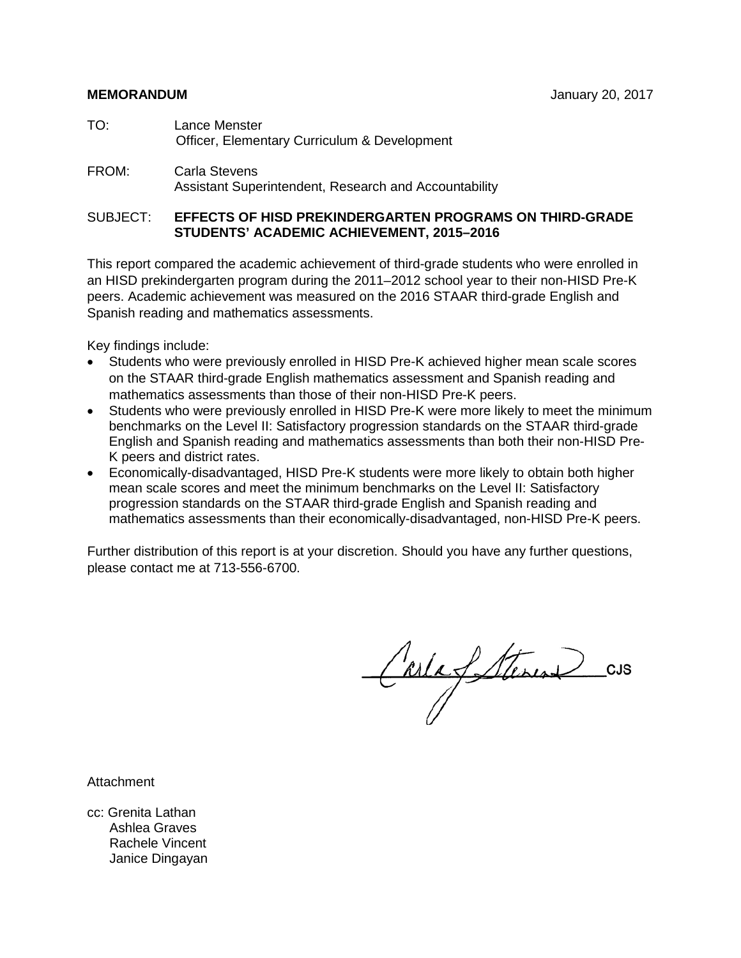- TO: Lance Menster Officer, Elementary Curriculum & Development
- FROM: Carla Stevens Assistant Superintendent, Research and Accountability

#### SUBJECT: **EFFECTS OF HISD PREKINDERGARTEN PROGRAMS ON THIRD-GRADE STUDENTS' ACADEMIC ACHIEVEMENT, 2015–2016**

This report compared the academic achievement of third-grade students who were enrolled in an HISD prekindergarten program during the 2011–2012 school year to their non-HISD Pre-K peers. Academic achievement was measured on the 2016 STAAR third-grade English and Spanish reading and mathematics assessments.

Key findings include:

- Students who were previously enrolled in HISD Pre-K achieved higher mean scale scores on the STAAR third-grade English mathematics assessment and Spanish reading and mathematics assessments than those of their non-HISD Pre-K peers.
- Students who were previously enrolled in HISD Pre-K were more likely to meet the minimum benchmarks on the Level II: Satisfactory progression standards on the STAAR third-grade English and Spanish reading and mathematics assessments than both their non-HISD Pre-K peers and district rates.
- Economically-disadvantaged, HISD Pre-K students were more likely to obtain both higher mean scale scores and meet the minimum benchmarks on the Level II: Satisfactory progression standards on the STAAR third-grade English and Spanish reading and mathematics assessments than their economically-disadvantaged, non-HISD Pre-K peers.

Further distribution of this report is at your discretion. Should you have any further questions, please contact me at 713-556-6700.

Carla Steren CUS

Attachment

cc: Grenita Lathan Ashlea Graves Rachele Vincent Janice Dingayan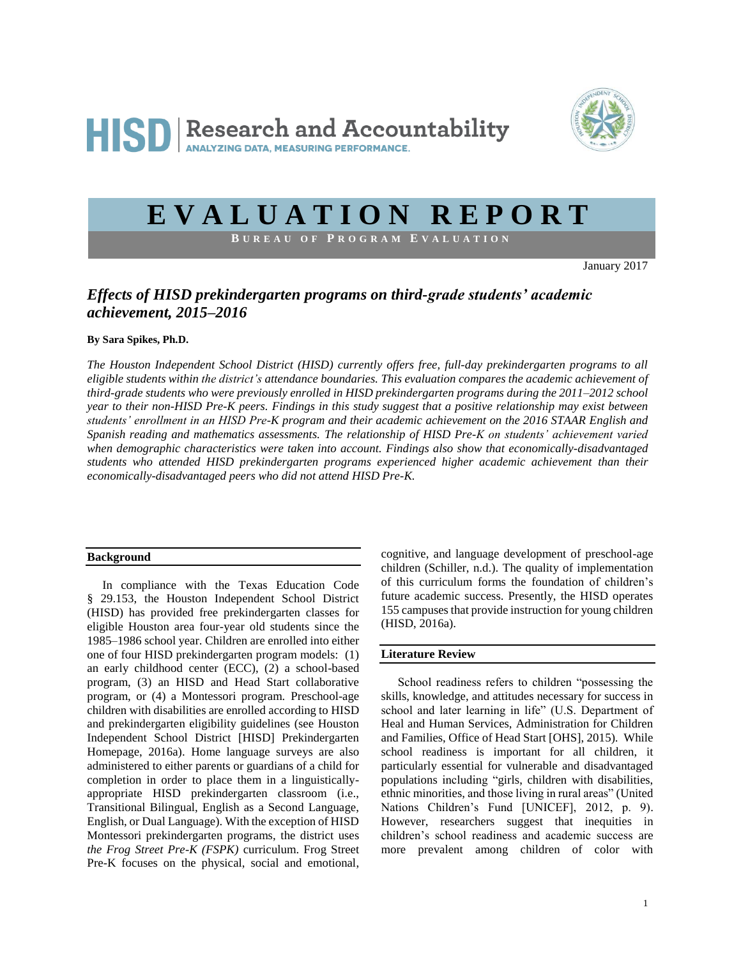

# **E V A L U A T I O N R E P O R T**

**B U R E A U O F P R O G R A M E V A L U A T I O N**

January 2017

### *Effects of HISD prekindergarten programs on third-grade students' academic achievement, 2015–2016*

#### **By Sara Spikes, Ph.D.**

*The Houston Independent School District (HISD) currently offers free, full-day prekindergarten programs to all eligible students within the district's attendance boundaries. This evaluation compares the academic achievement of third-grade students who were previously enrolled in HISD prekindergarten programs during the 2011–2012 school year to their non-HISD Pre-K peers. Findings in this study suggest that a positive relationship may exist between students' enrollment in an HISD Pre-K program and their academic achievement on the 2016 STAAR English and Spanish reading and mathematics assessments. The relationship of HISD Pre-K on students' achievement varied when demographic characteristics were taken into account. Findings also show that economically-disadvantaged students who attended HISD prekindergarten programs experienced higher academic achievement than their economically-disadvantaged peers who did not attend HISD Pre-K.*

#### **Background**

 In compliance with the Texas Education Code § 29.153, the Houston Independent School District (HISD) has provided free prekindergarten classes for eligible Houston area four-year old students since the 1985–1986 school year. Children are enrolled into either one of four HISD prekindergarten program models: (1) an early childhood center (ECC), (2) a school-based program, (3) an HISD and Head Start collaborative program, or (4) a Montessori program. Preschool-age children with disabilities are enrolled according to HISD and prekindergarten eligibility guidelines (see Houston Independent School District [HISD] Prekindergarten Homepage, 2016a). Home language surveys are also administered to either parents or guardians of a child for completion in order to place them in a linguisticallyappropriate HISD prekindergarten classroom (i.e., Transitional Bilingual, English as a Second Language, English, or Dual Language). With the exception of HISD Montessori prekindergarten programs, the district uses *the Frog Street Pre-K (FSPK)* curriculum. Frog Street Pre-K focuses on the physical, social and emotional,

cognitive, and language development of preschool-age children (Schiller, n.d.). The quality of implementation of this curriculum forms the foundation of children's future academic success. Presently, the HISD operates 155 campuses that provide instruction for young children (HISD, 2016a).

#### **Literature Review**

 School readiness refers to children "possessing the skills, knowledge, and attitudes necessary for success in school and later learning in life" (U.S. Department of Heal and Human Services, Administration for Children and Families, Office of Head Start [OHS], 2015). While school readiness is important for all children, it particularly essential for vulnerable and disadvantaged populations including "girls, children with disabilities, ethnic minorities, and those living in rural areas" (United Nations Children's Fund [UNICEF], 2012, p. 9). However, researchers suggest that inequities in children's school readiness and academic success are more prevalent among children of color with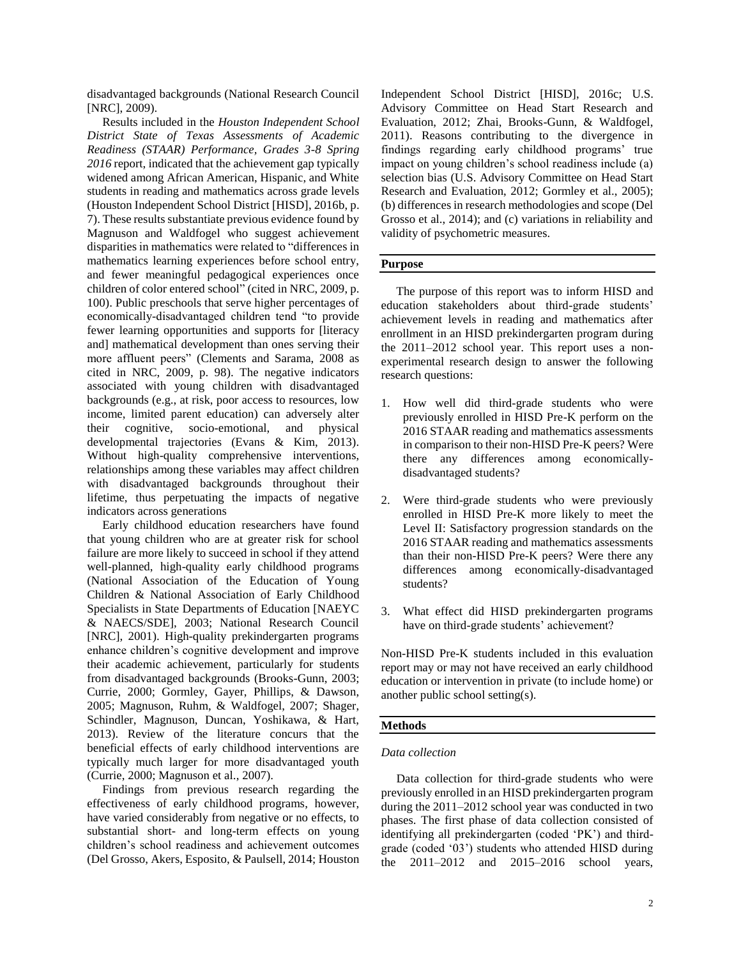disadvantaged backgrounds (National Research Council [NRC], 2009).

 Results included in the *Houston Independent School District State of Texas Assessments of Academic Readiness (STAAR) Performance, Grades 3-8 Spring 2016* report, indicated that the achievement gap typically widened among African American, Hispanic, and White students in reading and mathematics across grade levels (Houston Independent School District [HISD], 2016b, p. 7). These results substantiate previous evidence found by Magnuson and Waldfogel who suggest achievement disparities in mathematics were related to "differences in mathematics learning experiences before school entry, and fewer meaningful pedagogical experiences once children of color entered school" (cited in NRC, 2009, p. 100). Public preschools that serve higher percentages of economically-disadvantaged children tend "to provide fewer learning opportunities and supports for [literacy and] mathematical development than ones serving their more affluent peers" (Clements and Sarama, 2008 as cited in NRC, 2009, p. 98). The negative indicators associated with young children with disadvantaged backgrounds (e.g., at risk, poor access to resources, low income, limited parent education) can adversely alter their cognitive, socio-emotional, and physical developmental trajectories (Evans & Kim, 2013). Without high-quality comprehensive interventions, relationships among these variables may affect children with disadvantaged backgrounds throughout their lifetime, thus perpetuating the impacts of negative indicators across generations

 Early childhood education researchers have found that young children who are at greater risk for school failure are more likely to succeed in school if they attend well-planned, high-quality early childhood programs (National Association of the Education of Young Children & National Association of Early Childhood Specialists in State Departments of Education [NAEYC & NAECS/SDE], 2003; National Research Council [NRC], 2001). High-quality prekindergarten programs enhance children's cognitive development and improve their academic achievement, particularly for students from disadvantaged backgrounds (Brooks-Gunn, 2003; Currie, 2000; Gormley, Gayer, Phillips, & Dawson, 2005; Magnuson, Ruhm, & Waldfogel, 2007; Shager, Schindler, Magnuson, Duncan, Yoshikawa, & Hart, 2013). Review of the literature concurs that the beneficial effects of early childhood interventions are typically much larger for more disadvantaged youth (Currie, 2000; Magnuson et al., 2007).

 Findings from previous research regarding the effectiveness of early childhood programs, however, have varied considerably from negative or no effects, to substantial short- and long-term effects on young children's school readiness and achievement outcomes (Del Grosso, Akers, Esposito, & Paulsell, 2014; Houston

Independent School District [HISD], 2016c; U.S. Advisory Committee on Head Start Research and Evaluation, 2012; Zhai, Brooks-Gunn, & Waldfogel, 2011). Reasons contributing to the divergence in findings regarding early childhood programs' true impact on young children's school readiness include (a) selection bias (U.S. Advisory Committee on Head Start Research and Evaluation, 2012; Gormley et al., 2005); (b) differences in research methodologies and scope (Del Grosso et al., 2014); and (c) variations in reliability and validity of psychometric measures.

#### **Purpose**

 The purpose of this report was to inform HISD and education stakeholders about third-grade students' achievement levels in reading and mathematics after enrollment in an HISD prekindergarten program during the 2011–2012 school year. This report uses a nonexperimental research design to answer the following research questions:

- 1. How well did third-grade students who were previously enrolled in HISD Pre-K perform on the 2016 STAAR reading and mathematics assessments in comparison to their non-HISD Pre-K peers? Were there any differences among economicallydisadvantaged students?
- 2. Were third-grade students who were previously enrolled in HISD Pre-K more likely to meet the Level II: Satisfactory progression standards on the 2016 STAAR reading and mathematics assessments than their non-HISD Pre-K peers? Were there any differences among economically-disadvantaged students?
- 3. What effect did HISD prekindergarten programs have on third-grade students' achievement?

Non-HISD Pre-K students included in this evaluation report may or may not have received an early childhood education or intervention in private (to include home) or another public school setting(s).

#### **Methods**

#### *Data collection*

Data collection for third-grade students who were previously enrolled in an HISD prekindergarten program during the 2011–2012 school year was conducted in two phases. The first phase of data collection consisted of identifying all prekindergarten (coded 'PK') and thirdgrade (coded '03') students who attended HISD during the 2011–2012 and 2015–2016 school years,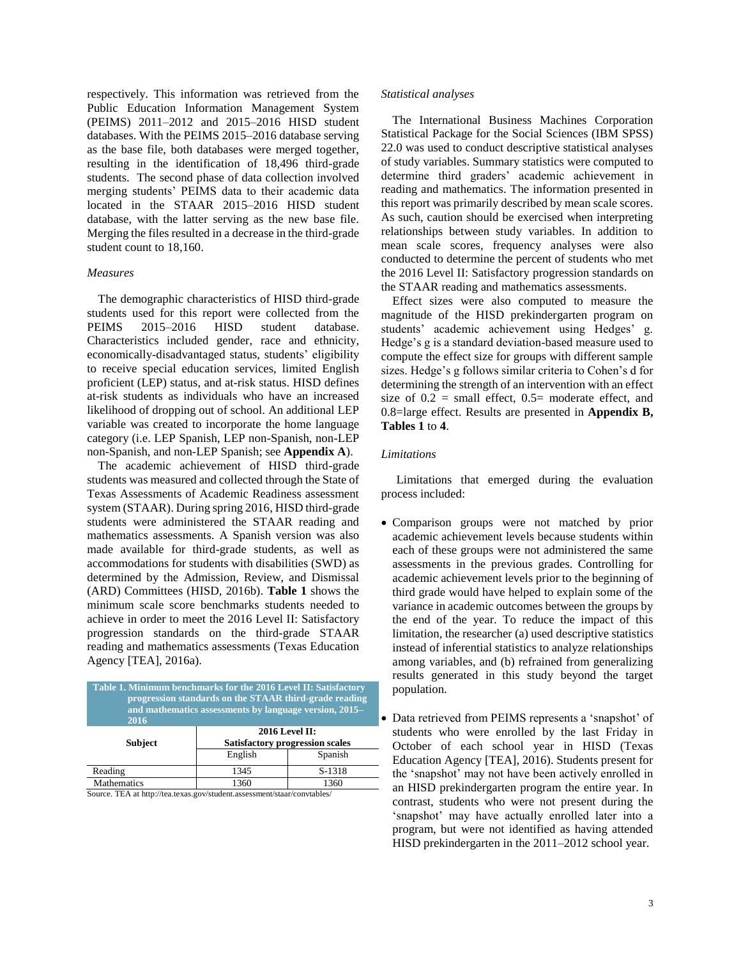respectively. This information was retrieved from the Public Education Information Management System (PEIMS) 2011–2012 and 2015–2016 HISD student databases. With the PEIMS 2015–2016 database serving as the base file, both databases were merged together, resulting in the identification of 18,496 third-grade students. The second phase of data collection involved merging students' PEIMS data to their academic data located in the STAAR 2015–2016 HISD student database, with the latter serving as the new base file. Merging the files resulted in a decrease in the third-grade student count to 18,160.

#### *Measures*

The demographic characteristics of HISD third-grade students used for this report were collected from the PEIMS 2015–2016 HISD student database. Characteristics included gender, race and ethnicity, economically-disadvantaged status, students' eligibility to receive special education services, limited English proficient (LEP) status, and at-risk status. HISD defines at-risk students as individuals who have an increased likelihood of dropping out of school. An additional LEP variable was created to incorporate the home language category (i.e. LEP Spanish, LEP non-Spanish, non-LEP non-Spanish, and non-LEP Spanish; see **Appendix A**).

The academic achievement of HISD third-grade students was measured and collected through the State of Texas Assessments of Academic Readiness assessment system (STAAR). During spring 2016, HISD third-grade students were administered the STAAR reading and mathematics assessments. A Spanish version was also made available for third-grade students, as well as accommodations for students with disabilities (SWD) as determined by the Admission, Review, and Dismissal (ARD) Committees (HISD, 2016b). **Table 1** shows the minimum scale score benchmarks students needed to achieve in order to meet the 2016 Level II: Satisfactory progression standards on the third-grade STAAR reading and mathematics assessments (Texas Education Agency [TEA], 2016a).

| Table 1. Minimum benchmarks for the 2016 Level II: Satisfactory<br>progression standards on the STAAR third-grade reading<br>and mathematics assessments by language version, 2015–<br>2016 |                                                                 |         |  |  |  |  |  |  |
|---------------------------------------------------------------------------------------------------------------------------------------------------------------------------------------------|-----------------------------------------------------------------|---------|--|--|--|--|--|--|
| <b>Subject</b>                                                                                                                                                                              | <b>2016 Level II:</b><br><b>Satisfactory progression scales</b> |         |  |  |  |  |  |  |
|                                                                                                                                                                                             | English                                                         | Spanish |  |  |  |  |  |  |
| Reading                                                                                                                                                                                     | 1345                                                            | S-1318  |  |  |  |  |  |  |
| <b>Mathematics</b>                                                                                                                                                                          | 1360                                                            | 1360    |  |  |  |  |  |  |

Source. TEA at http://tea.texas.gov/student.assessment/staar/convtables/

#### *Statistical analyses*

The International Business Machines Corporation Statistical Package for the Social Sciences (IBM SPSS) 22.0 was used to conduct descriptive statistical analyses of study variables. Summary statistics were computed to determine third graders' academic achievement in reading and mathematics. The information presented in this report was primarily described by mean scale scores. As such, caution should be exercised when interpreting relationships between study variables. In addition to mean scale scores, frequency analyses were also conducted to determine the percent of students who met the 2016 Level II: Satisfactory progression standards on the STAAR reading and mathematics assessments.

Effect sizes were also computed to measure the magnitude of the HISD prekindergarten program on students' academic achievement using Hedges' g. Hedge's g is a standard deviation-based measure used to compute the effect size for groups with different sample sizes. Hedge's g follows similar criteria to Cohen's d for determining the strength of an intervention with an effect size of  $0.2$  = small effect,  $0.5$ = moderate effect, and 0.8=large effect. Results are presented in **Appendix B, Tables 1** to **4**.

#### *Limitations*

 Limitations that emerged during the evaluation process included:

- Comparison groups were not matched by prior academic achievement levels because students within each of these groups were not administered the same assessments in the previous grades. Controlling for academic achievement levels prior to the beginning of third grade would have helped to explain some of the variance in academic outcomes between the groups by the end of the year. To reduce the impact of this limitation, the researcher (a) used descriptive statistics instead of inferential statistics to analyze relationships among variables, and (b) refrained from generalizing results generated in this study beyond the target population.
- Data retrieved from PEIMS represents a 'snapshot' of students who were enrolled by the last Friday in October of each school year in HISD (Texas Education Agency [TEA], 2016). Students present for the 'snapshot' may not have been actively enrolled in an HISD prekindergarten program the entire year. In contrast, students who were not present during the 'snapshot' may have actually enrolled later into a program, but were not identified as having attended HISD prekindergarten in the 2011–2012 school year.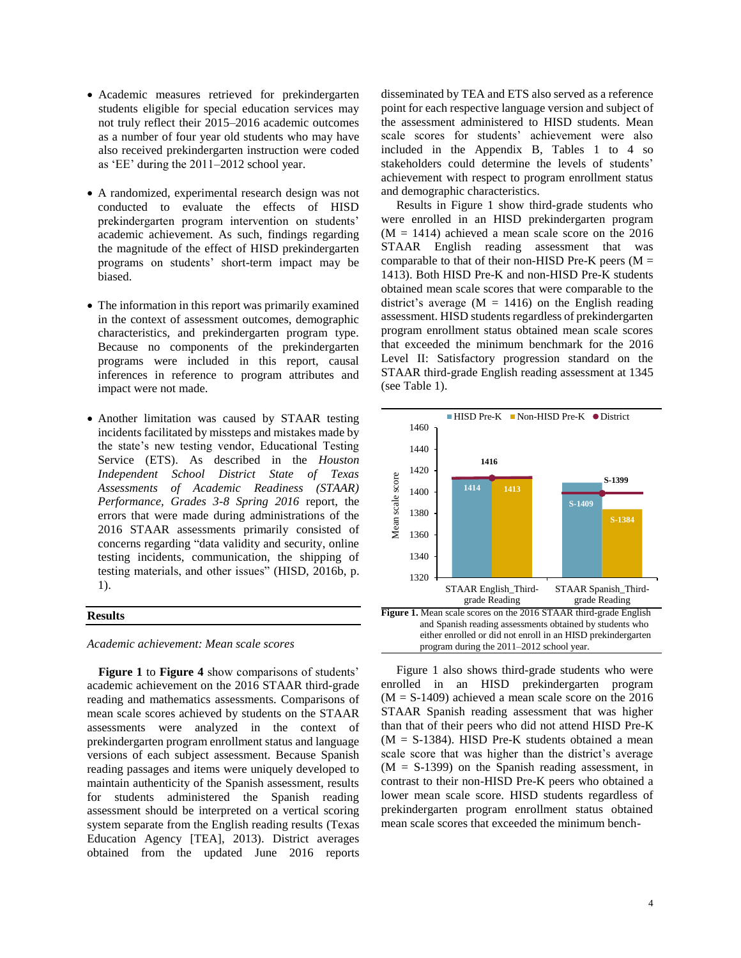- Academic measures retrieved for prekindergarten students eligible for special education services may not truly reflect their 2015–2016 academic outcomes as a number of four year old students who may have also received prekindergarten instruction were coded as 'EE' during the 2011–2012 school year.
- A randomized, experimental research design was not conducted to evaluate the effects of HISD prekindergarten program intervention on students' academic achievement. As such, findings regarding the magnitude of the effect of HISD prekindergarten programs on students' short-term impact may be biased.
- The information in this report was primarily examined in the context of assessment outcomes, demographic characteristics, and prekindergarten program type. Because no components of the prekindergarten programs were included in this report, causal inferences in reference to program attributes and impact were not made.
- Another limitation was caused by STAAR testing incidents facilitated by missteps and mistakes made by the state's new testing vendor, Educational Testing Service (ETS). As described in the *Houston Independent School District State of Texas Assessments of Academic Readiness (STAAR) Performance, Grades 3-8 Spring 2016* report, the errors that were made during administrations of the 2016 STAAR assessments primarily consisted of concerns regarding "data validity and security, online testing incidents, communication, the shipping of testing materials, and other issues" (HISD, 2016b, p. 1).

#### **Results**

*Academic achievement: Mean scale scores*

**Figure 1** to **Figure 4** show comparisons of students' academic achievement on the 2016 STAAR third-grade reading and mathematics assessments. Comparisons of mean scale scores achieved by students on the STAAR assessments were analyzed in the context of prekindergarten program enrollment status and language versions of each subject assessment. Because Spanish reading passages and items were uniquely developed to maintain authenticity of the Spanish assessment, results for students administered the Spanish reading assessment should be interpreted on a vertical scoring system separate from the English reading results (Texas Education Agency [TEA], 2013). District averages obtained from the updated June 2016 reports

disseminated by TEA and ETS also served as a reference point for each respective language version and subject of the assessment administered to HISD students. Mean scale scores for students' achievement were also included in the Appendix B, Tables 1 to 4 so stakeholders could determine the levels of students' achievement with respect to program enrollment status and demographic characteristics.

 Results in Figure 1 show third-grade students who were enrolled in an HISD prekindergarten program  $(M = 1414)$  achieved a mean scale score on the 2016 STAAR English reading assessment that was comparable to that of their non-HISD Pre-K peers  $(M =$ 1413). Both HISD Pre-K and non-HISD Pre-K students obtained mean scale scores that were comparable to the district's average ( $M = 1416$ ) on the English reading assessment. HISD students regardless of prekindergarten program enrollment status obtained mean scale scores that exceeded the minimum benchmark for the 2016 Level II: Satisfactory progression standard on the STAAR third-grade English reading assessment at 1345 (see Table 1).



 Figure 1 also shows third-grade students who were enrolled in an HISD prekindergarten program  $(M = S-1409)$  achieved a mean scale score on the 2016 STAAR Spanish reading assessment that was higher than that of their peers who did not attend HISD Pre-K  $(M = S-1384)$ . HISD Pre-K students obtained a mean scale score that was higher than the district's average  $(M = S-1399)$  on the Spanish reading assessment, in contrast to their non-HISD Pre-K peers who obtained a lower mean scale score. HISD students regardless of prekindergarten program enrollment status obtained mean scale scores that exceeded the minimum bench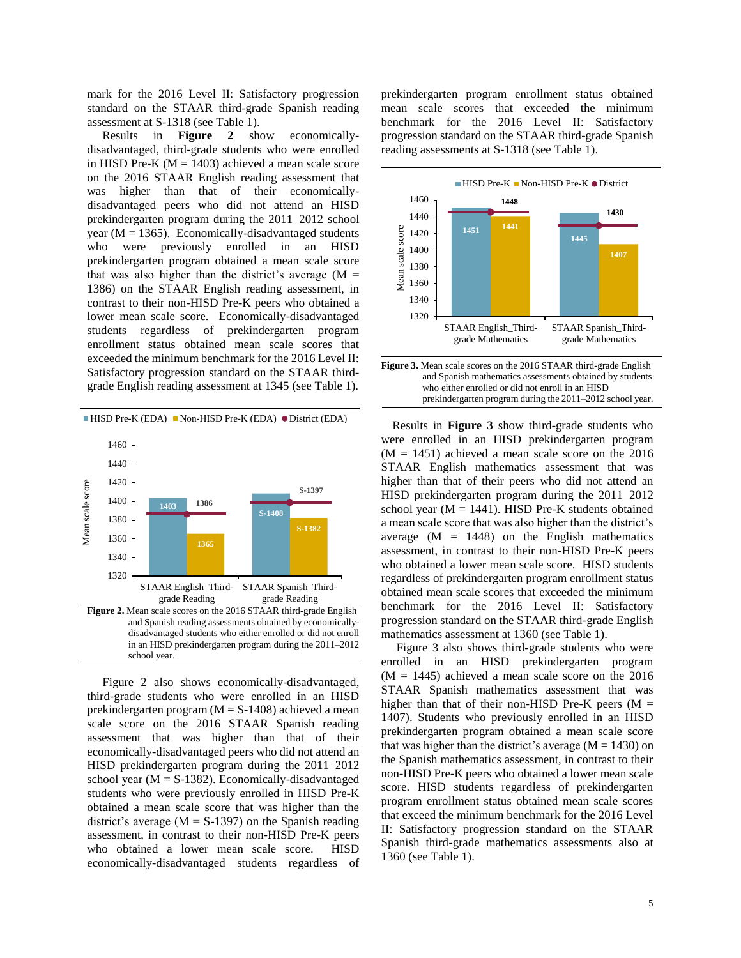mark for the 2016 Level II: Satisfactory progression standard on the STAAR third-grade Spanish reading assessment at S-1318 (see Table 1).

 Results in **Figure 2** show economicallydisadvantaged, third-grade students who were enrolled in HISD Pre-K ( $M = 1403$ ) achieved a mean scale score on the 2016 STAAR English reading assessment that was higher than that of their economicallydisadvantaged peers who did not attend an HISD prekindergarten program during the 2011–2012 school year ( $M = 1365$ ). Economically-disadvantaged students who were previously enrolled in an HISD prekindergarten program obtained a mean scale score that was also higher than the district's average  $(M =$ 1386) on the STAAR English reading assessment, in contrast to their non-HISD Pre-K peers who obtained a lower mean scale score. Economically-disadvantaged students regardless of prekindergarten program enrollment status obtained mean scale scores that exceeded the minimum benchmark for the 2016 Level II: Satisfactory progression standard on the STAAR thirdgrade English reading assessment at 1345 (see Table 1).



 and Spanish reading assessments obtained by economically disadvantaged students who either enrolled or did not enroll in an HISD prekindergarten program during the 2011–2012 school year.

 Figure 2 also shows economically-disadvantaged, third-grade students who were enrolled in an HISD prekindergarten program (M = S-1408) achieved a mean scale score on the 2016 STAAR Spanish reading assessment that was higher than that of their economically-disadvantaged peers who did not attend an HISD prekindergarten program during the 2011–2012 school year ( $M = S-1382$ ). Economically-disadvantaged students who were previously enrolled in HISD Pre-K obtained a mean scale score that was higher than the district's average ( $M = S-1397$ ) on the Spanish reading assessment, in contrast to their non-HISD Pre-K peers who obtained a lower mean scale score. HISD economically-disadvantaged students regardless of prekindergarten program enrollment status obtained mean scale scores that exceeded the minimum benchmark for the 2016 Level II: Satisfactory progression standard on the STAAR third-grade Spanish reading assessments at S-1318 (see Table 1).



| <b>Figure 3.</b> Mean scale scores on the 2016 STAAR third-grade English |  |
|--------------------------------------------------------------------------|--|
| and Spanish mathematics assessments obtained by students                 |  |
| who either enrolled or did not enroll in an HISD                         |  |
| prekindergarten program during the 2011–2012 school year.                |  |
|                                                                          |  |

Results in **Figure 3** show third-grade students who were enrolled in an HISD prekindergarten program  $(M = 1451)$  achieved a mean scale score on the 2016 STAAR English mathematics assessment that was higher than that of their peers who did not attend an HISD prekindergarten program during the 2011–2012 school year ( $M = 1441$ ). HISD Pre-K students obtained a mean scale score that was also higher than the district's average  $(M = 1448)$  on the English mathematics assessment, in contrast to their non-HISD Pre-K peers who obtained a lower mean scale score. HISD students regardless of prekindergarten program enrollment status obtained mean scale scores that exceeded the minimum benchmark for the 2016 Level II: Satisfactory progression standard on the STAAR third-grade English mathematics assessment at 1360 (see Table 1).

 Figure 3 also shows third-grade students who were enrolled in an HISD prekindergarten program  $(M = 1445)$  achieved a mean scale score on the 2016 STAAR Spanish mathematics assessment that was higher than that of their non-HISD Pre-K peers  $(M =$ 1407). Students who previously enrolled in an HISD prekindergarten program obtained a mean scale score that was higher than the district's average  $(M = 1430)$  on the Spanish mathematics assessment, in contrast to their non-HISD Pre-K peers who obtained a lower mean scale score. HISD students regardless of prekindergarten program enrollment status obtained mean scale scores that exceed the minimum benchmark for the 2016 Level II: Satisfactory progression standard on the STAAR Spanish third-grade mathematics assessments also at 1360 (see Table 1).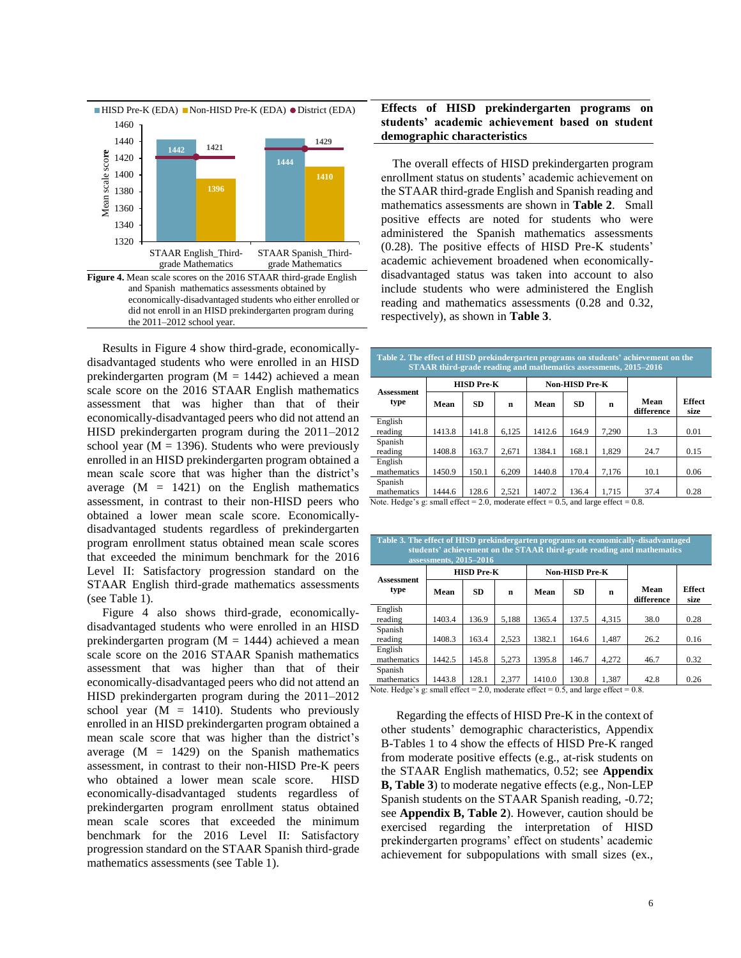

 Results in Figure 4 show third-grade, economicallydisadvantaged students who were enrolled in an HISD prekindergarten program ( $M = 1442$ ) achieved a mean scale score on the 2016 STAAR English mathematics assessment that was higher than that of their economically-disadvantaged peers who did not attend an HISD prekindergarten program during the 2011–2012 school year ( $M = 1396$ ). Students who were previously enrolled in an HISD prekindergarten program obtained a mean scale score that was higher than the district's average  $(M = 1421)$  on the English mathematics assessment, in contrast to their non-HISD peers who obtained a lower mean scale score. Economicallydisadvantaged students regardless of prekindergarten program enrollment status obtained mean scale scores that exceeded the minimum benchmark for the 2016 Level II: Satisfactory progression standard on the STAAR English third-grade mathematics assessments (see Table 1).

 Figure 4 also shows third-grade, economicallydisadvantaged students who were enrolled in an HISD prekindergarten program ( $M = 1444$ ) achieved a mean scale score on the 2016 STAAR Spanish mathematics assessment that was higher than that of their economically-disadvantaged peers who did not attend an HISD prekindergarten program during the 2011–2012 school year  $(M = 1410)$ . Students who previously enrolled in an HISD prekindergarten program obtained a mean scale score that was higher than the district's average  $(M = 1429)$  on the Spanish mathematics assessment, in contrast to their non-HISD Pre-K peers who obtained a lower mean scale score. HISD economically-disadvantaged students regardless of prekindergarten program enrollment status obtained mean scale scores that exceeded the minimum benchmark for the 2016 Level II: Satisfactory progression standard on the STAAR Spanish third-grade mathematics assessments (see Table 1).

#### **Effects of HISD prekindergarten programs on students' academic achievement based on student demographic characteristics**

The overall effects of HISD prekindergarten program enrollment status on students' academic achievement on the STAAR third-grade English and Spanish reading and mathematics assessments are shown in **Table 2**. Small positive effects are noted for students who were administered the Spanish mathematics assessments (0.28). The positive effects of HISD Pre-K students' academic achievement broadened when economicallydisadvantaged status was taken into account to also include students who were administered the English reading and mathematics assessments (0.28 and 0.32, respectively), as shown in **Table 3**.

| Table 2. The effect of HISD prekindergarten programs on students' achievement on the<br>STAAR third-grade reading and mathematics assessments, 2015–2016 |                   |                               |       |        |                       |       |                       |                       |  |  |
|----------------------------------------------------------------------------------------------------------------------------------------------------------|-------------------|-------------------------------|-------|--------|-----------------------|-------|-----------------------|-----------------------|--|--|
| <b>Assessment</b>                                                                                                                                        | <b>HISD Pre-K</b> |                               |       |        | <b>Non-HISD Pre-K</b> |       |                       |                       |  |  |
| type                                                                                                                                                     | Mean              | SD.                           | n     | Mean   | <b>SD</b>             | n     | Mean<br>difference    | <b>Effect</b><br>size |  |  |
| English<br>reading                                                                                                                                       | 1413.8            | 141.8                         | 6,125 | 1412.6 | 164.9                 | 7.290 | 1.3                   | 0.01                  |  |  |
| Spanish<br>reading                                                                                                                                       | 1408.8            | 163.7                         | 2.671 | 1384.1 | 168.1                 | 1.829 | 24.7                  | 0.15                  |  |  |
| English<br>mathematics                                                                                                                                   | 1450.9            | 150.1                         | 6.209 | 1440.8 | 170.4                 | 7,176 | 10.1                  | 0.06                  |  |  |
| Spanish<br>mathematics<br><b>Article 1989</b> , 1989, 1989                                                                                               | 1444.6<br>$\sim$  | 128.6<br>$\sim$ $\sim$ $\sim$ | 2.521 | 1407.2 | 136.4                 | 1.715 | 37.4<br>$\sim$ $\sim$ | 0.28                  |  |  |

Note. Hedge's g: small effect =  $2.0$ , moderate effect =  $0.5$ , and large effect =  $0.8$ .

| Table 3. The effect of HISD prekindergarten programs on economically-disadvantaged<br>students' achievement on the STAAR third-grade reading and mathematics<br>assessments, 2015-2016 |        |                   |             |        |                       |       |                    |                       |  |  |
|----------------------------------------------------------------------------------------------------------------------------------------------------------------------------------------|--------|-------------------|-------------|--------|-----------------------|-------|--------------------|-----------------------|--|--|
| <b>Assessment</b>                                                                                                                                                                      |        | <b>HISD Pre-K</b> |             |        | <b>Non-HISD Pre-K</b> |       |                    |                       |  |  |
| type                                                                                                                                                                                   | Mean   | SD.               | $\mathbf n$ | Mean   | <b>SD</b>             | n     | Mean<br>difference | <b>Effect</b><br>size |  |  |
| English<br>reading                                                                                                                                                                     | 1403.4 | 136.9             | 5.188       | 1365.4 | 137.5                 | 4.315 | 38.0               | 0.28                  |  |  |
| Spanish<br>reading                                                                                                                                                                     | 1408.3 | 163.4             | 2.523       | 1382.1 | 164.6                 | 1.487 | 26.2               | 0.16                  |  |  |
| English<br>mathematics                                                                                                                                                                 | 1442.5 | 145.8             | 5.273       | 1395.8 | 146.7                 | 4.272 | 46.7               | 0.32                  |  |  |
| Spanish<br>mathematics                                                                                                                                                                 | 1443.8 | 128.1             | 2.377       | 1410.0 | 130.8                 | 1.387 | 42.8               | 0.26                  |  |  |

Note. Hedge's g: small effect =  $2.0$ , moderate effect =  $0.5$ , and large effect =  $0.8$ .

 Regarding the effects of HISD Pre-K in the context of other students' demographic characteristics, Appendix B-Tables 1 to 4 show the effects of HISD Pre-K ranged from moderate positive effects (e.g., at-risk students on the STAAR English mathematics, 0.52; see **Appendix B, Table 3**) to moderate negative effects (e.g., Non-LEP Spanish students on the STAAR Spanish reading, -0.72; see **Appendix B, Table 2**). However, caution should be exercised regarding the interpretation of HISD prekindergarten programs' effect on students' academic achievement for subpopulations with small sizes (ex.,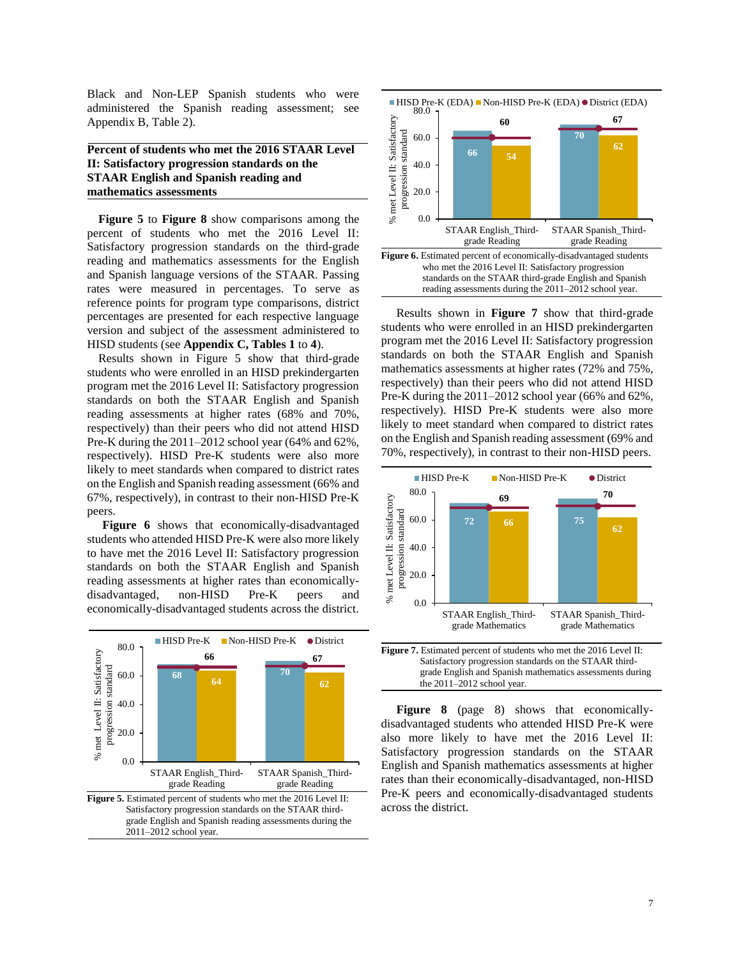Black and Non-LEP Spanish students who were administered the Spanish reading assessment; see Appendix B, Table 2).

#### **Percent of students who met the 2016 STAAR Level II: Satisfactory progression standards on the STAAR English and Spanish reading and mathematics assessments**

**Figure 5** to **Figure 8** show comparisons among the percent of students who met the 2016 Level II: Satisfactory progression standards on the third-grade reading and mathematics assessments for the English and Spanish language versions of the STAAR. Passing rates were measured in percentages. To serve as reference points for program type comparisons, district percentages are presented for each respective language version and subject of the assessment administered to HISD students (see **Appendix C, Tables 1** to **4**).

Results shown in Figure 5 show that third-grade students who were enrolled in an HISD prekindergarten program met the 2016 Level II: Satisfactory progression standards on both the STAAR English and Spanish reading assessments at higher rates (68% and 70%, respectively) than their peers who did not attend HISD Pre-K during the 2011–2012 school year (64% and 62%, respectively). HISD Pre-K students were also more likely to meet standards when compared to district rates on the English and Spanish reading assessment (66% and 67%, respectively), in contrast to their non-HISD Pre-K peers.

 **Figure 6** shows that economically-disadvantaged students who attended HISD Pre-K were also more likely to have met the 2016 Level II: Satisfactory progression standards on both the STAAR English and Spanish reading assessments at higher rates than economicallydisadvantaged, non-HISD Pre-K peers and economically-disadvantaged students across the district.





 Results shown in **Figure 7** show that third-grade students who were enrolled in an HISD prekindergarten program met the 2016 Level II: Satisfactory progression standards on both the STAAR English and Spanish mathematics assessments at higher rates (72% and 75%, respectively) than their peers who did not attend HISD Pre-K during the 2011–2012 school year (66% and 62%, respectively). HISD Pre-K students were also more likely to meet standard when compared to district rates on the English and Spanish reading assessment (69% and 70%, respectively), in contrast to their non-HISD peers.



 Satisfactory progression standards on the STAAR third grade English and Spanish mathematics assessments during the 2011–2012 school year.

 **Figure 8** (page 8) shows that economicallydisadvantaged students who attended HISD Pre-K were also more likely to have met the 2016 Level II: Satisfactory progression standards on the STAAR English and Spanish mathematics assessments at higher rates than their economically-disadvantaged, non-HISD Pre-K peers and economically-disadvantaged students across the district.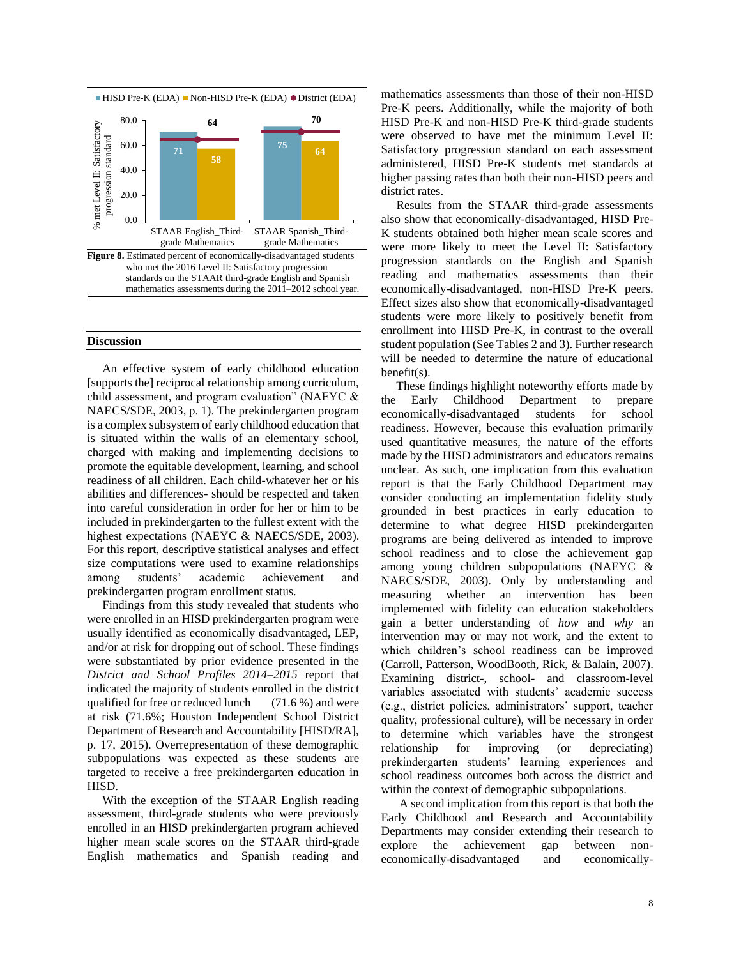

#### **Discussion**

 An effective system of early childhood education [supports the] reciprocal relationship among curriculum, child assessment, and program evaluation" (NAEYC & NAECS/SDE, 2003, p. 1). The prekindergarten program is a complex subsystem of early childhood education that is situated within the walls of an elementary school, charged with making and implementing decisions to promote the equitable development, learning, and school readiness of all children. Each child-whatever her or his abilities and differences- should be respected and taken into careful consideration in order for her or him to be included in prekindergarten to the fullest extent with the highest expectations (NAEYC & NAECS/SDE, 2003). For this report, descriptive statistical analyses and effect size computations were used to examine relationships among students' academic achievement and prekindergarten program enrollment status.

 Findings from this study revealed that students who were enrolled in an HISD prekindergarten program were usually identified as economically disadvantaged, LEP, and/or at risk for dropping out of school. These findings were substantiated by prior evidence presented in the *District and School Profiles 2014–2015* report that indicated the majority of students enrolled in the district qualified for free or reduced lunch (71.6 %) and were at risk (71.6%; Houston Independent School District Department of Research and Accountability [HISD/RA], p. 17, 2015). Overrepresentation of these demographic subpopulations was expected as these students are targeted to receive a free prekindergarten education in HISD.

 With the exception of the STAAR English reading assessment, third-grade students who were previously enrolled in an HISD prekindergarten program achieved higher mean scale scores on the STAAR third-grade English mathematics and Spanish reading and mathematics assessments than those of their non-HISD Pre-K peers. Additionally, while the majority of both HISD Pre-K and non-HISD Pre-K third-grade students were observed to have met the minimum Level II: Satisfactory progression standard on each assessment administered, HISD Pre-K students met standards at higher passing rates than both their non-HISD peers and district rates.

 Results from the STAAR third-grade assessments also show that economically-disadvantaged, HISD Pre-K students obtained both higher mean scale scores and were more likely to meet the Level II: Satisfactory progression standards on the English and Spanish reading and mathematics assessments than their economically-disadvantaged, non-HISD Pre-K peers. Effect sizes also show that economically-disadvantaged students were more likely to positively benefit from enrollment into HISD Pre-K, in contrast to the overall student population (See Tables 2 and 3). Further research will be needed to determine the nature of educational benefit(s).

 These findings highlight noteworthy efforts made by the Early Childhood Department to prepare economically-disadvantaged students for school readiness. However, because this evaluation primarily used quantitative measures, the nature of the efforts made by the HISD administrators and educators remains unclear. As such, one implication from this evaluation report is that the Early Childhood Department may consider conducting an implementation fidelity study grounded in best practices in early education to determine to what degree HISD prekindergarten programs are being delivered as intended to improve school readiness and to close the achievement gap among young children subpopulations (NAEYC & NAECS/SDE, 2003). Only by understanding and measuring whether an intervention has been implemented with fidelity can education stakeholders gain a better understanding of *how* and *why* an intervention may or may not work, and the extent to which children's school readiness can be improved (Carroll, Patterson, WoodBooth, Rick, & Balain, 2007). Examining district-, school- and classroom-level variables associated with students' academic success (e.g., district policies, administrators' support, teacher quality, professional culture), will be necessary in order to determine which variables have the strongest relationship for improving (or depreciating) prekindergarten students' learning experiences and school readiness outcomes both across the district and within the context of demographic subpopulations.

 A second implication from this report is that both the Early Childhood and Research and Accountability Departments may consider extending their research to explore the achievement gap between noneconomically-disadvantaged and economically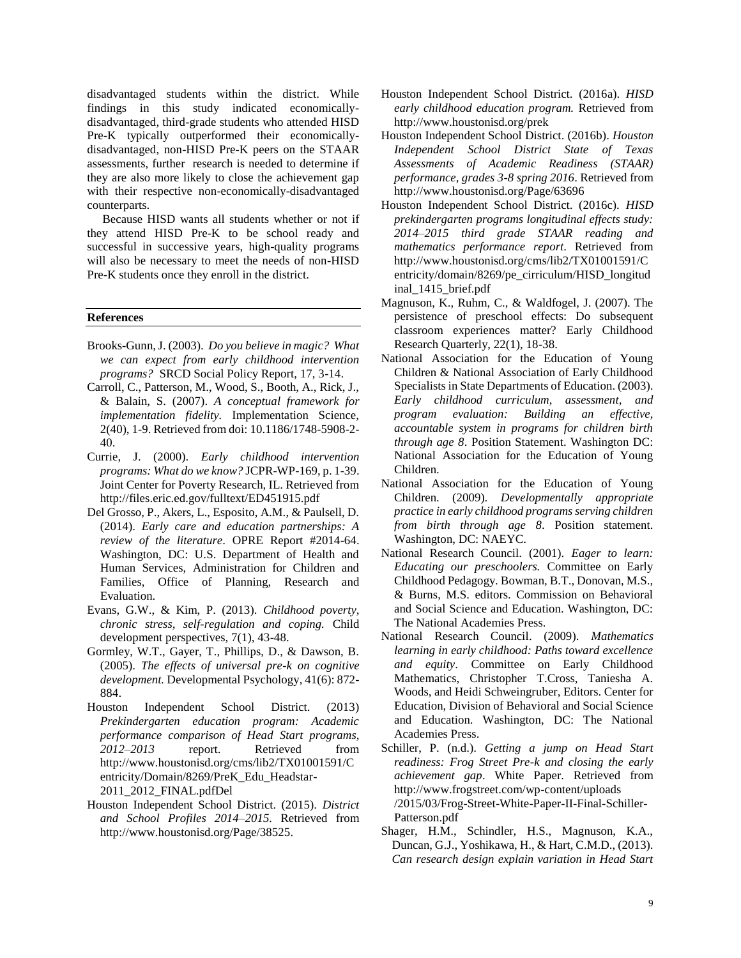disadvantaged students within the district. While findings in this study indicated economicallydisadvantaged, third-grade students who attended HISD Pre-K typically outperformed their economicallydisadvantaged, non-HISD Pre-K peers on the STAAR assessments, further research is needed to determine if they are also more likely to close the achievement gap with their respective non-economically-disadvantaged counterparts.

 Because HISD wants all students whether or not if they attend HISD Pre-K to be school ready and successful in successive years, high-quality programs will also be necessary to meet the needs of non-HISD Pre-K students once they enroll in the district.

#### **References**

- Brooks-Gunn, J. (2003). *Do you believe in magic? What we can expect from early childhood intervention programs?* SRCD Social Policy Report, 17, 3-14.
- Carroll, C., Patterson, M., Wood, S., Booth, A., Rick, J., & Balain, S. (2007). *A conceptual framework for implementation fidelity.* Implementation Science, 2(40), 1-9. Retrieved from doi: 10.1186/1748-5908-2- 40.
- Currie, J. (2000). *Early childhood intervention programs: What do we know?* JCPR-WP-169, p. 1-39. Joint Center for Poverty Research, IL. Retrieved from http://files.eric.ed.gov/fulltext/ED451915.pdf
- Del Grosso, P., Akers, L., Esposito, A.M., & Paulsell, D. (2014). *Early care and education partnerships: A review of the literature*. OPRE Report #2014-64. Washington, DC: U.S. Department of Health and Human Services, Administration for Children and Families, Office of Planning, Research and Evaluation.
- Evans, G.W., & Kim, P. (2013). *Childhood poverty, chronic stress, self-regulation and coping.* Child development perspectives, 7(1), 43-48.
- Gormley, W.T., Gayer, T., Phillips, D., & Dawson, B. (2005). *The effects of universal pre-k on cognitive development.* Developmental Psychology, 41(6): 872- 884.
- Houston Independent School District. (2013) *Prekindergarten education program: Academic performance comparison of Head Start programs, 2012*–*2013* report. Retrieved from http://www.houstonisd.org/cms/lib2/TX01001591/C entricity/Domain/8269/PreK\_Edu\_Headstar-2011\_2012\_FINAL.pdfDel
- Houston Independent School District. (2015). *District and School Profiles 2014–2015.* Retrieved from http://www.houstonisd.org/Page/38525.
- Houston Independent School District. (2016a). *HISD early childhood education program.* Retrieved from http://www.houstonisd.org/prek
- Houston Independent School District. (2016b). *Houston Independent School District State of Texas Assessments of Academic Readiness (STAAR) performance, grades 3-8 spring 2016*. Retrieved from http://www.houstonisd.org/Page/63696
- Houston Independent School District. (2016c). *HISD prekindergarten programs longitudinal effects study: 2014–2015 third grade STAAR reading and mathematics performance report*. Retrieved from http://www.houstonisd.org/cms/lib2/TX01001591/C entricity/domain/8269/pe\_cirriculum/HISD\_longitud inal\_1415\_brief.pdf
- Magnuson, K., Ruhm, C., & Waldfogel, J. (2007). The persistence of preschool effects: Do subsequent classroom experiences matter? Early Childhood Research Quarterly, 22(1), 18-38.
- National Association for the Education of Young Children & National Association of Early Childhood Specialists in State Departments of Education. (2003). *Early childhood curriculum, assessment, and program evaluation: Building an effective, accountable system in programs for children birth through age 8*. Position Statement. Washington DC: National Association for the Education of Young Children.
- National Association for the Education of Young Children. (2009). *Developmentally appropriate practice in early childhood programs serving children from birth through age 8*. Position statement. Washington, DC: NAEYC.
- National Research Council. (2001). *Eager to learn: Educating our preschoolers.* Committee on Early Childhood Pedagogy. Bowman, B.T., Donovan, M.S., & Burns, M.S. editors. Commission on Behavioral and Social Science and Education. Washington, DC: The National Academies Press.
- National Research Council. (2009). *Mathematics learning in early childhood: Paths toward excellence and equity*. Committee on Early Childhood Mathematics, Christopher T.Cross, Taniesha A. Woods, and Heidi Schweingruber, Editors. Center for Education, Division of Behavioral and Social Science and Education. Washington, DC: The National Academies Press.
- Schiller, P. (n.d.). *Getting a jump on Head Start readiness: Frog Street Pre-k and closing the early achievement gap*. White Paper. Retrieved from http://www.frogstreet.com/wp-content/uploads /2015/03/Frog-Street-White-Paper-II-Final-Schiller-Patterson.pdf
- Shager, H.M., Schindler, H.S., Magnuson, K.A., Duncan, G.J., Yoshikawa, H., & Hart, C.M.D., (2013). *Can research design explain variation in Head Start*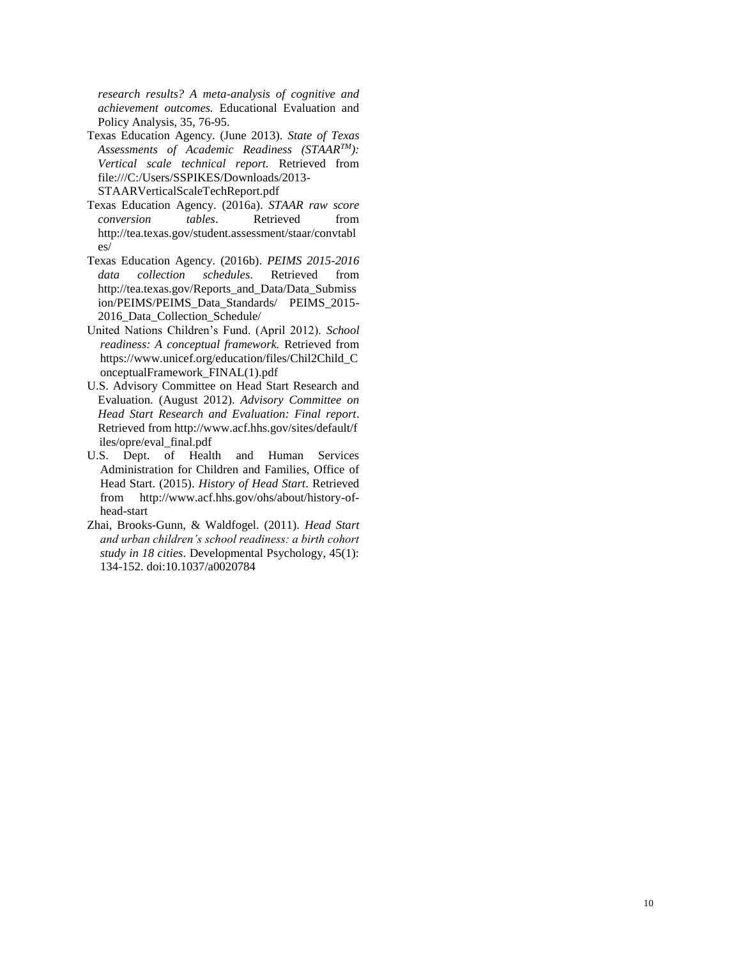*research results? A meta-analysis of cognitive and achievement outcomes.* Educational Evaluation and Policy Analysis, 35, 76-95.

- Texas Education Agency. (June 2013). *State of Texas Assessments of Academic Readiness (STAARTM): Vertical scale technical report.* Retrieved from file:///C:/Users/SSPIKES/Downloads/2013- STAARVerticalScaleTechReport.pdf
- Texas Education Agency. (2016a). *STAAR raw score conversion tables*. Retrieved from http://tea.texas.gov/student.assessment/staar/convtabl es/
- Texas Education Agency. (2016b). *PEIMS 2015-2016 data collection schedules*. Retrieved from http://tea.texas.gov/Reports\_and\_Data/Data\_Submiss ion/PEIMS/PEIMS\_Data\_Standards/ PEIMS\_2015- 2016\_Data\_Collection\_Schedule/
- United Nations Children's Fund. (April 2012). *School readiness: A conceptual framework.* Retrieved from https://www.unicef.org/education/files/Chil2Child\_C onceptualFramework\_FINAL(1).pdf
- U.S. Advisory Committee on Head Start Research and Evaluation. (August 2012). *Advisory Committee on Head Start Research and Evaluation: Final report*. Retrieved from http://www.acf.hhs.gov/sites/default/f iles/opre/eval\_final.pdf
- U.S. Dept. of Health and Human Services Administration for Children and Families, Office of Head Start. (2015). *History of Head Start*. Retrieved from http://www.acf.hhs.gov/ohs/about/history-ofhead-start
- Zhai, Brooks-Gunn, & Waldfogel. (2011). *Head Start and urban children's school readiness: a birth cohort study in 18 cities*. Developmental Psychology, 45(1): 134-152. doi:10.1037/a0020784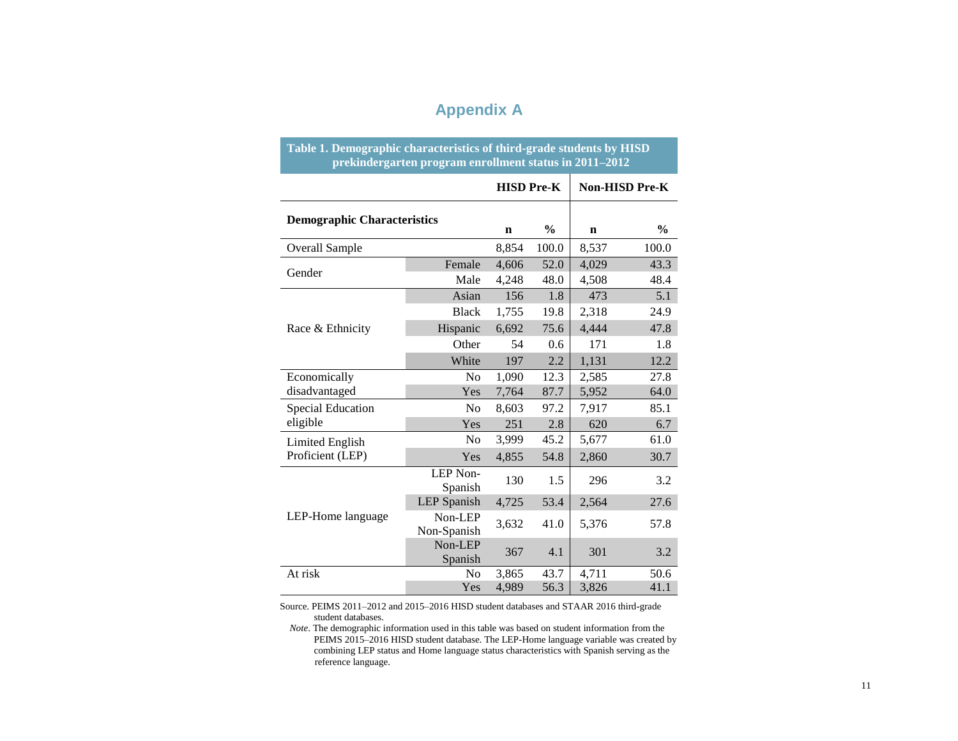## **Appendix A**

|                                    | Table 1. Demographic characteristics of third-grade students by HISD<br>prekindergarten program enrollment status in 2011-2012 |                   |               |                |               |  |  |  |  |  |  |  |
|------------------------------------|--------------------------------------------------------------------------------------------------------------------------------|-------------------|---------------|----------------|---------------|--|--|--|--|--|--|--|
|                                    |                                                                                                                                | <b>HISD Pre-K</b> |               | Non-HISD Pre-K |               |  |  |  |  |  |  |  |
| <b>Demographic Characteristics</b> |                                                                                                                                | $\mathbf n$       | $\frac{6}{9}$ | $\mathbf n$    | $\frac{0}{0}$ |  |  |  |  |  |  |  |
| Overall Sample                     |                                                                                                                                | 8,854             | 100.0         | 8,537          | 100.0         |  |  |  |  |  |  |  |
| Gender                             | Female                                                                                                                         | 4,606             | 52.0          | 4,029          | 43.3          |  |  |  |  |  |  |  |
|                                    | Male                                                                                                                           | 4,248             | 48.0          | 4,508          | 48.4          |  |  |  |  |  |  |  |
|                                    | Asian                                                                                                                          | 156               | 1.8           | 473            | 5.1           |  |  |  |  |  |  |  |
| Race & Ethnicity                   | <b>Black</b>                                                                                                                   | 1,755             | 19.8          | 2,318          | 24.9          |  |  |  |  |  |  |  |
|                                    | Hispanic                                                                                                                       | 6,692             | 75.6          | 4,444          | 47.8          |  |  |  |  |  |  |  |
|                                    | Other                                                                                                                          | 54                | 0.6           | 171            | 1.8           |  |  |  |  |  |  |  |
|                                    | White                                                                                                                          | 197               | 2.2           | 1,131          | 12.2          |  |  |  |  |  |  |  |
| Economically                       | No                                                                                                                             | 1,090             | 12.3          | 2,585          | 27.8          |  |  |  |  |  |  |  |
| disadvantaged                      | Yes                                                                                                                            | 7,764             | 87.7          | 5,952          | 64.0          |  |  |  |  |  |  |  |
| <b>Special Education</b>           | No                                                                                                                             | 8,603             | 97.2          | 7,917          | 85.1          |  |  |  |  |  |  |  |
| eligible                           | Yes                                                                                                                            | 251               | 2.8           | 620            | 6.7           |  |  |  |  |  |  |  |
| <b>Limited English</b>             | No                                                                                                                             | 3,999             | 45.2          | 5,677          | 61.0          |  |  |  |  |  |  |  |
| Proficient (LEP)                   | Yes                                                                                                                            | 4,855             | 54.8          | 2,860          | 30.7          |  |  |  |  |  |  |  |
|                                    | LEP Non-<br>Spanish                                                                                                            | 130               | 1.5           | 296            | 3.2           |  |  |  |  |  |  |  |
|                                    | <b>LEP</b> Spanish                                                                                                             | 4,725             | 53.4          | 2,564          | 27.6          |  |  |  |  |  |  |  |
| LEP-Home language                  | Non-LEP<br>Non-Spanish                                                                                                         | 3,632             | 41.0          | 5,376          | 57.8          |  |  |  |  |  |  |  |
|                                    | Non-LEP<br>Spanish                                                                                                             | 367               | 4.1           | 301            | 3.2           |  |  |  |  |  |  |  |
| At risk                            | No                                                                                                                             | 3,865             | 43.7          | 4,711          | 50.6          |  |  |  |  |  |  |  |
|                                    | Yes                                                                                                                            | 4,989             | 56.3          | 3,826          | 41.1          |  |  |  |  |  |  |  |

Source. PEIMS 2011–2012 and 2015–2016 HISD student databases and STAAR 2016 third-grade student databases.

PEIMS 2015–2016 HISD student database. The LEP-Home language variable was created by *Note*. The demographic information used in this table was based on student information from the combining LEP status and Home language status characteristics with Spanish serving as the reference language.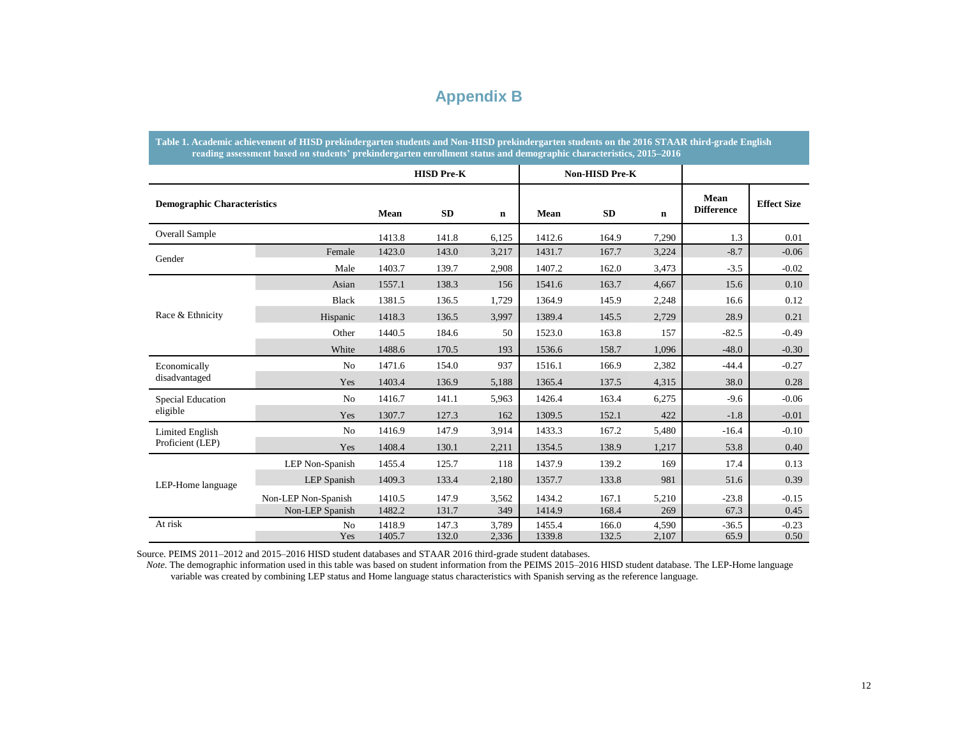### **Appendix B**

|                                    | Table 1. Academic achievement of HISD prekindergarten students and Non-HISD prekindergarten students on the 2016 STAAR third-grade English<br>reading assessment based on students' prekindergarten enrollment status and demographic characteristics, 2015-2016 |                  |                   |                |                  |                       |                |                           |                    |  |  |
|------------------------------------|------------------------------------------------------------------------------------------------------------------------------------------------------------------------------------------------------------------------------------------------------------------|------------------|-------------------|----------------|------------------|-----------------------|----------------|---------------------------|--------------------|--|--|
|                                    |                                                                                                                                                                                                                                                                  |                  | <b>HISD Pre-K</b> |                |                  | <b>Non-HISD Pre-K</b> |                |                           |                    |  |  |
| <b>Demographic Characteristics</b> |                                                                                                                                                                                                                                                                  | Mean             | <b>SD</b>         | $\mathbf n$    | Mean             | <b>SD</b>             | $\mathbf n$    | Mean<br><b>Difference</b> | <b>Effect Size</b> |  |  |
| <b>Overall Sample</b>              |                                                                                                                                                                                                                                                                  | 1413.8           | 141.8             | 6,125          | 1412.6           | 164.9                 | 7,290          | 1.3                       | 0.01               |  |  |
| Gender                             | Female                                                                                                                                                                                                                                                           | 1423.0           | 143.0             | 3,217          | 1431.7           | 167.7                 | 3,224          | $-8.7$                    | $-0.06$            |  |  |
|                                    | Male                                                                                                                                                                                                                                                             | 1403.7           | 139.7             | 2,908          | 1407.2           | 162.0                 | 3,473          | $-3.5$                    | $-0.02$            |  |  |
|                                    | Asian                                                                                                                                                                                                                                                            | 1557.1           | 138.3             | 156            | 1541.6           | 163.7                 | 4,667          | 15.6                      | 0.10               |  |  |
|                                    | <b>Black</b>                                                                                                                                                                                                                                                     | 1381.5           | 136.5             | 1,729          | 1364.9           | 145.9                 | 2,248          | 16.6                      | 0.12               |  |  |
| Race & Ethnicity                   | Hispanic                                                                                                                                                                                                                                                         | 1418.3           | 136.5             | 3.997          | 1389.4           | 145.5                 | 2,729          | 28.9                      | 0.21               |  |  |
|                                    | Other                                                                                                                                                                                                                                                            | 1440.5           | 184.6             | 50             | 1523.0           | 163.8                 | 157            | $-82.5$                   | $-0.49$            |  |  |
|                                    | White                                                                                                                                                                                                                                                            | 1488.6           | 170.5             | 193            | 1536.6           | 158.7                 | 1,096          | $-48.0$                   | $-0.30$            |  |  |
| Economically                       | No                                                                                                                                                                                                                                                               | 1471.6           | 154.0             | 937            | 1516.1           | 166.9                 | 2,382          | $-44.4$                   | $-0.27$            |  |  |
| disadvantaged                      | Yes                                                                                                                                                                                                                                                              | 1403.4           | 136.9             | 5,188          | 1365.4           | 137.5                 | 4,315          | 38.0                      | 0.28               |  |  |
| Special Education                  | N <sub>0</sub>                                                                                                                                                                                                                                                   | 1416.7           | 141.1             | 5,963          | 1426.4           | 163.4                 | 6,275          | $-9.6$                    | $-0.06$            |  |  |
| eligible                           | Yes                                                                                                                                                                                                                                                              | 1307.7           | 127.3             | 162            | 1309.5           | 152.1                 | 422            | $-1.8$                    | $-0.01$            |  |  |
| Limited English                    | N <sub>0</sub>                                                                                                                                                                                                                                                   | 1416.9           | 147.9             | 3,914          | 1433.3           | 167.2                 | 5,480          | $-16.4$                   | $-0.10$            |  |  |
| Proficient (LEP)                   | Yes                                                                                                                                                                                                                                                              | 1408.4           | 130.1             | 2,211          | 1354.5           | 138.9                 | 1,217          | 53.8                      | 0.40               |  |  |
|                                    | LEP Non-Spanish                                                                                                                                                                                                                                                  | 1455.4           | 125.7             | 118            | 1437.9           | 139.2                 | 169            | 17.4                      | 0.13               |  |  |
| LEP-Home language                  | LEP Spanish                                                                                                                                                                                                                                                      | 1409.3           | 133.4             | 2,180          | 1357.7           | 133.8                 | 981            | 51.6                      | 0.39               |  |  |
|                                    | Non-LEP Non-Spanish                                                                                                                                                                                                                                              | 1410.5           | 147.9             | 3,562          | 1434.2           | 167.1                 | 5,210          | $-23.8$                   | $-0.15$            |  |  |
|                                    | Non-LEP Spanish                                                                                                                                                                                                                                                  | 1482.2           | 131.7             | 349            | 1414.9           | 168.4                 | 269            | 67.3                      | 0.45               |  |  |
| At risk                            | N <sub>o</sub><br>Yes                                                                                                                                                                                                                                            | 1418.9<br>1405.7 | 147.3<br>132.0    | 3,789<br>2,336 | 1455.4<br>1339.8 | 166.0<br>132.5        | 4.590<br>2,107 | $-36.5$<br>65.9           | $-0.23$<br>0.50    |  |  |

Source. PEIMS 2011–2012 and 2015–2016 HISD student databases and STAAR 2016 third-grade student databases.

 *Note*. The demographic information used in this table was based on student information from the PEIMS 2015–2016 HISD student database. The LEP-Home language variable was created by combining LEP status and Home language status characteristics with Spanish serving as the reference language.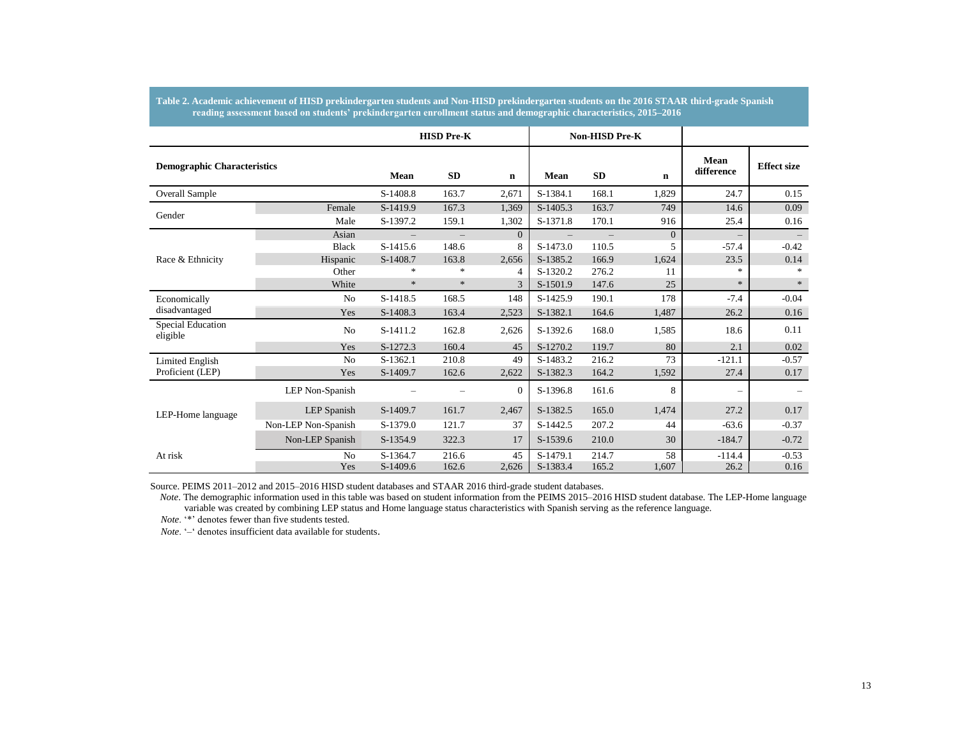|                                    |                     |                      | <b>HISD Pre-K</b>        |                |                        | <b>Non-HISD Pre-K</b>    |                |                           |                          |
|------------------------------------|---------------------|----------------------|--------------------------|----------------|------------------------|--------------------------|----------------|---------------------------|--------------------------|
| <b>Demographic Characteristics</b> |                     | <b>Mean</b>          | SD                       | $\mathbf n$    | Mean                   | <b>SD</b>                | $\mathbf n$    | <b>Mean</b><br>difference | <b>Effect size</b>       |
| Overall Sample                     |                     | S-1408.8             | 163.7                    | 2,671          | S-1384.1               | 168.1                    | 1,829          | 24.7                      | 0.15                     |
| Gender                             | Female<br>Male      | S-1419.9<br>S-1397.2 | 167.3<br>159.1           | 1,369<br>1,302 | $S-1405.3$<br>S-1371.8 | 163.7<br>170.1           | 749<br>916     | 14.6<br>25.4              | 0.09<br>0.16             |
|                                    | Asian               | $\qquad \qquad -$    | $\overline{\phantom{m}}$ | $\overline{0}$ |                        | $\overline{\phantom{m}}$ | $\overline{0}$ | $\overline{\phantom{m}}$  | $\overline{\phantom{m}}$ |
|                                    | <b>Black</b>        | S-1415.6             | 148.6                    | 8              | S-1473.0               | 110.5                    | 5              | $-57.4$                   | $-0.42$                  |
| Race & Ethnicity                   | Hispanic            | S-1408.7             | 163.8                    | 2,656          | S-1385.2               | 166.9                    | 1,624          | 23.5                      | 0.14                     |
|                                    | Other               | $\ast$               | $\ast$                   | 4              | S-1320.2               | 276.2                    | 11             | $\ast$                    |                          |
|                                    | White               | $\ast$               | $\ast$                   | 3              | S-1501.9               | 147.6                    | 25             | $\ast$                    | $\star$                  |
| Economically                       | N <sub>0</sub>      | S-1418.5             | 168.5                    | 148            | S-1425.9               | 190.1                    | 178            | $-7.4$                    | $-0.04$                  |
| disadvantaged                      | Yes                 | S-1408.3             | 163.4                    | 2,523          | S-1382.1               | 164.6                    | 1,487          | 26.2                      | 0.16                     |
| Special Education<br>eligible      | N <sub>o</sub>      | S-1411.2             | 162.8                    | 2,626          | S-1392.6               | 168.0                    | 1,585          | 18.6                      | 0.11                     |
|                                    | Yes                 | S-1272.3             | 160.4                    | 45             | S-1270.2               | 119.7                    | 80             | 2.1                       | 0.02                     |
| <b>Limited English</b>             | N <sub>0</sub>      | S-1362.1             | 210.8                    | 49             | S-1483.2               | 216.2                    | 73             | $-121.1$                  | $-0.57$                  |
| Proficient (LEP)                   | Yes                 | S-1409.7             | 162.6                    | 2,622          | S-1382.3               | 164.2                    | 1,592          | 27.4                      | 0.17                     |
|                                    | LEP Non-Spanish     |                      |                          | $\Omega$       | S-1396.8               | 161.6                    | 8              |                           |                          |
| LEP-Home language                  | LEP Spanish         | S-1409.7             | 161.7                    | 2,467          | S-1382.5               | 165.0                    | 1,474          | 27.2                      | 0.17                     |
|                                    | Non-LEP Non-Spanish | S-1379.0             | 121.7                    | 37             | S-1442.5               | 207.2                    | 44             | $-63.6$                   | $-0.37$                  |
|                                    | Non-LEP Spanish     | S-1354.9             | 322.3                    | 17             | S-1539.6               | 210.0                    | 30             | $-184.7$                  | $-0.72$                  |
| At risk                            | No                  | S-1364.7             | 216.6                    | 45             | S-1479.1               | 214.7                    | 58             | $-114.4$                  | $-0.53$                  |
|                                    | Yes                 | S-1409.6             | 162.6                    | 2,626          | S-1383.4               | 165.2                    | 1,607          | 26.2                      | 0.16                     |

**Table 2. Academic achievement of HISD prekindergarten students and Non-HISD prekindergarten students on the 2016 STAAR third-grade Spanish reading assessment based on students' prekindergarten enrollment status and demographic characteristics, 2015–2016**

Source. PEIMS 2011–2012 and 2015–2016 HISD student databases and STAAR 2016 third-grade student databases.

 *Note*. The demographic information used in this table was based on student information from the PEIMS 2015–2016 HISD student database. The LEP-Home language variable was created by combining LEP status and Home language status characteristics with Spanish serving as the reference language.

 *Note*. '\*' denotes fewer than five students tested.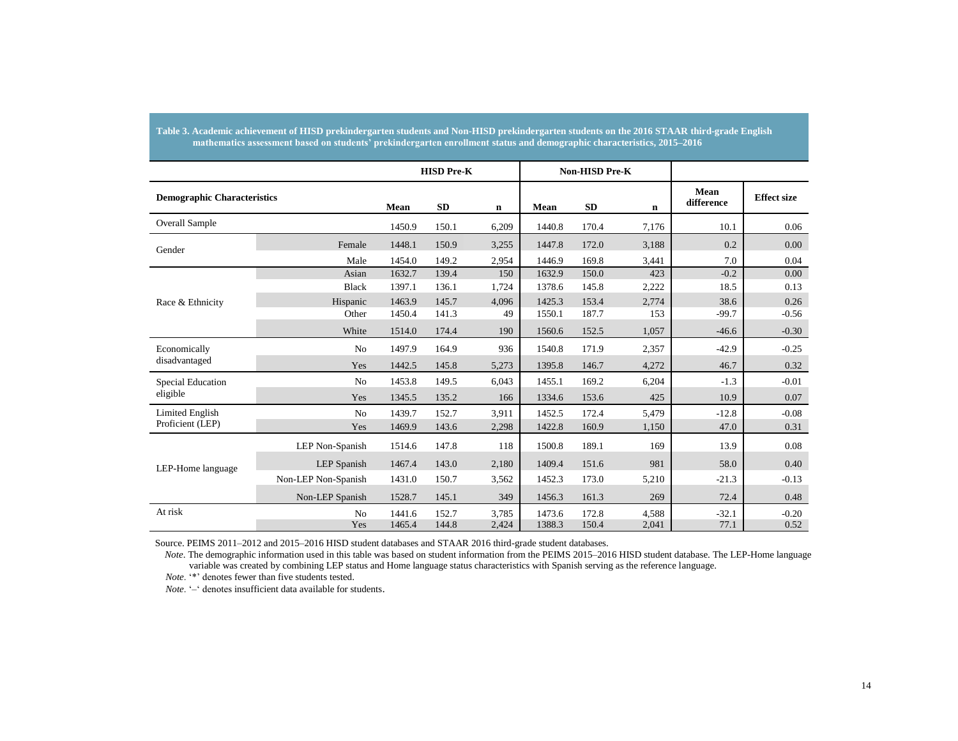|                                    |                     |        | <b>HISD Pre-K</b> |       |        | <b>Non-HISD Pre-K</b> |             |                           |                    |
|------------------------------------|---------------------|--------|-------------------|-------|--------|-----------------------|-------------|---------------------------|--------------------|
| <b>Demographic Characteristics</b> |                     | Mean   | <b>SD</b>         | n     | Mean   | <b>SD</b>             | $\mathbf n$ | <b>Mean</b><br>difference | <b>Effect size</b> |
| <b>Overall Sample</b>              |                     | 1450.9 | 150.1             | 6,209 | 1440.8 | 170.4                 | 7,176       | 10.1                      | 0.06               |
| Gender                             | Female              | 1448.1 | 150.9             | 3,255 | 1447.8 | 172.0                 | 3,188       | 0.2                       | 0.00               |
|                                    | Male                | 1454.0 | 149.2             | 2,954 | 1446.9 | 169.8                 | 3,441       | 7.0                       | 0.04               |
|                                    | Asian               | 1632.7 | 139.4             | 150   | 1632.9 | 150.0                 | 423         | $-0.2$                    | 0.00               |
|                                    | <b>Black</b>        | 1397.1 | 136.1             | 1,724 | 1378.6 | 145.8                 | 2,222       | 18.5                      | 0.13               |
| Race & Ethnicity                   | Hispanic            | 1463.9 | 145.7             | 4.096 | 1425.3 | 153.4                 | 2,774       | 38.6                      | 0.26               |
|                                    | Other               | 1450.4 | 141.3             | 49    | 1550.1 | 187.7                 | 153         | $-99.7$                   | $-0.56$            |
|                                    | White               | 1514.0 | 174.4             | 190   | 1560.6 | 152.5                 | 1,057       | $-46.6$                   | $-0.30$            |
| Economically                       | No                  | 1497.9 | 164.9             | 936   | 1540.8 | 171.9                 | 2,357       | $-42.9$                   | $-0.25$            |
| disadvantaged                      | Yes                 | 1442.5 | 145.8             | 5,273 | 1395.8 | 146.7                 | 4,272       | 46.7                      | 0.32               |
| <b>Special Education</b>           | N <sub>o</sub>      | 1453.8 | 149.5             | 6.043 | 1455.1 | 169.2                 | 6,204       | $-1.3$                    | $-0.01$            |
| eligible                           | Yes                 | 1345.5 | 135.2             | 166   | 1334.6 | 153.6                 | 425         | 10.9                      | 0.07               |
| <b>Limited English</b>             | No                  | 1439.7 | 152.7             | 3,911 | 1452.5 | 172.4                 | 5,479       | $-12.8$                   | $-0.08$            |
| Proficient (LEP)                   | Yes                 | 1469.9 | 143.6             | 2,298 | 1422.8 | 160.9                 | 1,150       | 47.0                      | 0.31               |
|                                    | LEP Non-Spanish     | 1514.6 | 147.8             | 118   | 1500.8 | 189.1                 | 169         | 13.9                      | 0.08               |
| LEP-Home language                  | <b>LEP</b> Spanish  | 1467.4 | 143.0             | 2,180 | 1409.4 | 151.6                 | 981         | 58.0                      | 0.40               |
|                                    | Non-LEP Non-Spanish | 1431.0 | 150.7             | 3,562 | 1452.3 | 173.0                 | 5,210       | $-21.3$                   | $-0.13$            |
|                                    | Non-LEP Spanish     | 1528.7 | 145.1             | 349   | 1456.3 | 161.3                 | 269         | 72.4                      | 0.48               |
| At risk                            | N <sub>o</sub>      | 1441.6 | 152.7             | 3,785 | 1473.6 | 172.8                 | 4,588       | $-32.1$                   | $-0.20$            |
|                                    | Yes                 | 1465.4 | 144.8             | 2,424 | 1388.3 | 150.4                 | 2,041       | 77.1                      | 0.52               |

**Table 3. Academic achievement of HISD prekindergarten students and Non-HISD prekindergarten students on the 2016 STAAR third-grade English mathematics assessment based on students' prekindergarten enrollment status and demographic characteristics, 2015–2016**

Source. PEIMS 2011–2012 and 2015–2016 HISD student databases and STAAR 2016 third-grade student databases.

 *Note*. The demographic information used in this table was based on student information from the PEIMS 2015–2016 HISD student database. The LEP-Home language variable was created by combining LEP status and Home language status characteristics with Spanish serving as the reference language.

 *Note*. '\*' denotes fewer than five students tested.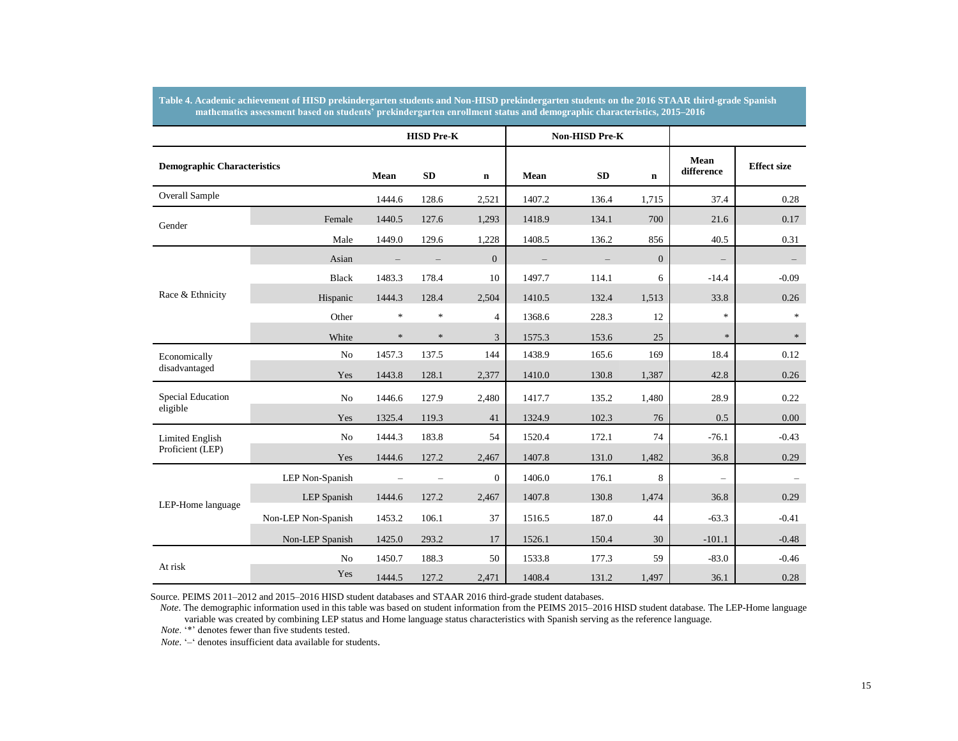|                                    |                     |        | <b>HISD Pre-K</b> |                |        | Non-HISD Pre-K |                  |                          |                    |
|------------------------------------|---------------------|--------|-------------------|----------------|--------|----------------|------------------|--------------------------|--------------------|
| <b>Demographic Characteristics</b> |                     | Mean   | <b>SD</b>         | $\mathbf n$    | Mean   | <b>SD</b>      | $\mathbf n$      | Mean<br>difference       | <b>Effect size</b> |
| <b>Overall Sample</b>              |                     | 1444.6 | 128.6             | 2,521          | 1407.2 | 136.4          | 1,715            | 37.4                     | 0.28               |
| Gender                             | Female              | 1440.5 | 127.6             | 1,293          | 1418.9 | 134.1          | 700              | 21.6                     | 0.17               |
|                                    | Male                | 1449.0 | 129.6             | 1,228          | 1408.5 | 136.2          | 856              | 40.5                     | 0.31               |
|                                    | Asian               |        |                   | $\overline{0}$ |        |                | $\boldsymbol{0}$ | $\overline{\phantom{m}}$ |                    |
|                                    | <b>Black</b>        | 1483.3 | 178.4             | 10             | 1497.7 | 114.1          | 6                | $-14.4$                  | $-0.09$            |
| Race & Ethnicity                   | Hispanic            | 1444.3 | 128.4             | 2,504          | 1410.5 | 132.4          | 1,513            | 33.8                     | 0.26               |
|                                    | Other               | $\ast$ | $\ast$            | $\overline{4}$ | 1368.6 | 228.3          | 12               | $\ast$                   | $\mathcal{R}$      |
|                                    | White               | $\ast$ | $\ast$            | 3              | 1575.3 | 153.6          | 25               | $\ast$                   | $\ast$             |
| Economically                       | No                  | 1457.3 | 137.5             | 144            | 1438.9 | 165.6          | 169              | 18.4                     | 0.12               |
| disadvantaged                      | Yes                 | 1443.8 | 128.1             | 2,377          | 1410.0 | 130.8          | 1,387            | 42.8                     | 0.26               |
| <b>Special Education</b>           | No                  | 1446.6 | 127.9             | 2,480          | 1417.7 | 135.2          | 1,480            | 28.9                     | 0.22               |
| eligible                           | Yes                 | 1325.4 | 119.3             | 41             | 1324.9 | 102.3          | 76               | 0.5                      | 0.00               |
| <b>Limited English</b>             | No                  | 1444.3 | 183.8             | 54             | 1520.4 | 172.1          | 74               | $-76.1$                  | $-0.43$            |
| Proficient (LEP)                   | Yes                 | 1444.6 | 127.2             | 2,467          | 1407.8 | 131.0          | 1,482            | 36.8                     | 0.29               |
|                                    | LEP Non-Spanish     |        |                   | $\mathbf{0}$   | 1406.0 | 176.1          | 8                |                          |                    |
| LEP-Home language                  | <b>LEP</b> Spanish  | 1444.6 | 127.2             | 2,467          | 1407.8 | 130.8          | 1,474            | 36.8                     | 0.29               |
|                                    | Non-LEP Non-Spanish | 1453.2 | 106.1             | 37             | 1516.5 | 187.0          | 44               | $-63.3$                  | $-0.41$            |
|                                    | Non-LEP Spanish     | 1425.0 | 293.2             | 17             | 1526.1 | 150.4          | 30               | $-101.1$                 | $-0.48$            |
|                                    | No                  | 1450.7 | 188.3             | 50             | 1533.8 | 177.3          | 59               | $-83.0$                  | $-0.46$            |
| At risk                            | Yes                 | 1444.5 | 127.2             | 2,471          | 1408.4 | 131.2          | 1,497            | 36.1                     | 0.28               |

**Table 4. Academic achievement of HISD prekindergarten students and Non-HISD prekindergarten students on the 2016 STAAR third-grade Spanish mathematics assessment based on students' prekindergarten enrollment status and demographic characteristics, 2015–2016**

Source. PEIMS 2011–2012 and 2015–2016 HISD student databases and STAAR 2016 third-grade student databases.

variable was created by combining LEP status and Home language status characteristics with Spanish serving as the reference language. *Note*. The demographic information used in this table was based on student information from the PEIMS 2015–2016 HISD student database. The LEP-Home language

 *Note*. '\*' denotes fewer than five students tested.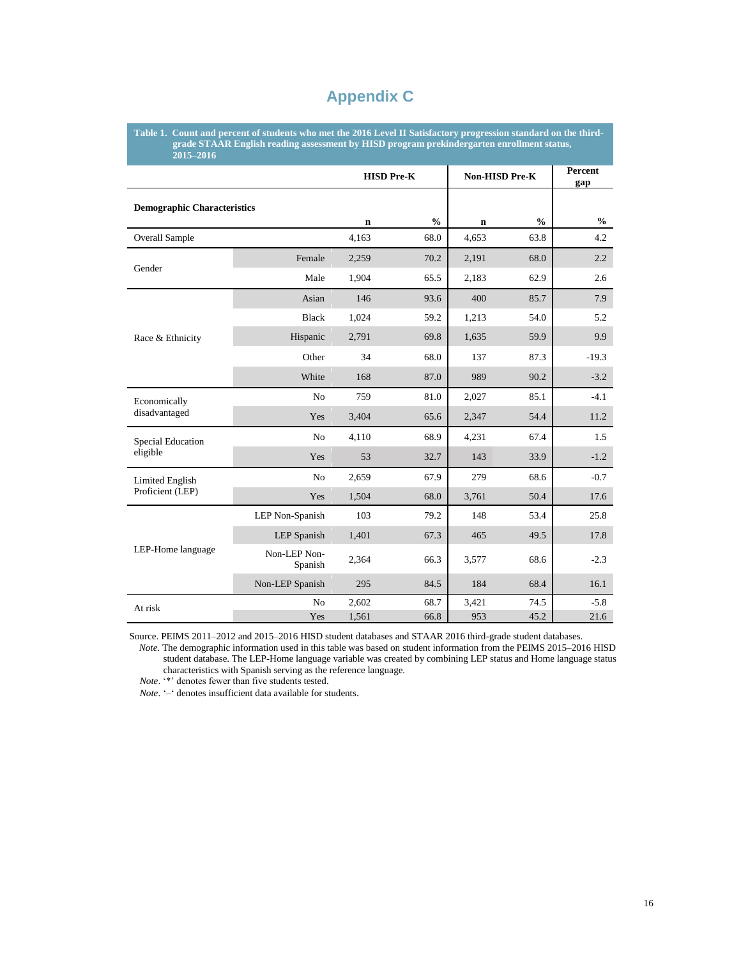### **Appendix C**

**Table 1. Count and percent of students who met the 2016 Level II Satisfactory progression standard on the third grade STAAR English reading assessment by HISD program prekindergarten enrollment status, 2015–2016**

|                                    |                         |             | <b>HISD Pre-K</b> | Non-HISD Pre-K |               | Percent<br>gap |
|------------------------------------|-------------------------|-------------|-------------------|----------------|---------------|----------------|
| <b>Demographic Characteristics</b> |                         |             |                   |                |               |                |
|                                    |                         | $\mathbf n$ | $\frac{0}{0}$     | $\mathbf n$    | $\frac{0}{0}$ | $\frac{0}{0}$  |
| <b>Overall Sample</b>              |                         | 4,163       | 68.0              | 4,653          | 63.8          | 4.2            |
| Gender                             | Female                  | 2,259       | 70.2              | 2,191          | 68.0          | 2.2            |
|                                    | Male                    | 1,904       | 65.5              | 2,183          | 62.9          | 2.6            |
|                                    | Asian                   | 146         | 93.6              | 400            | 85.7          | 7.9            |
|                                    | <b>Black</b>            | 1,024       | 59.2              | 1,213          | 54.0          | 5.2            |
| Race & Ethnicity                   | Hispanic                | 2,791       | 69.8              | 1,635          | 59.9          | 9.9            |
|                                    | Other                   | 34          | 68.0              | 137            | 87.3          | $-19.3$        |
|                                    | White                   | 168         | 87.0              | 989            | 90.2          | $-3.2$         |
| Economically                       | N <sub>o</sub>          | 759         | 81.0              | 2,027          | 85.1          | $-4.1$         |
| disadvantaged                      | Yes                     | 3,404       | 65.6              | 2,347          | 54.4          | 11.2           |
| Special Education                  | No                      | 4,110       | 68.9              | 4,231          | 67.4          | 1.5            |
| eligible                           | Yes                     | 53          | 32.7              | 143            | 33.9          | $-1.2$         |
| Limited English                    | No                      | 2,659       | 67.9              | 279            | 68.6          | $-0.7$         |
| Proficient (LEP)                   | Yes                     | 1,504       | 68.0              | 3,761          | 50.4          | 17.6           |
|                                    | LEP Non-Spanish         | 103         | 79.2              | 148            | 53.4          | 25.8           |
|                                    | <b>LEP</b> Spanish      | 1,401       | 67.3              | 465            | 49.5          | 17.8           |
| LEP-Home language                  | Non-LEP Non-<br>Spanish | 2,364       | 66.3              | 3,577          | 68.6          | $-2.3$         |
|                                    | Non-LEP Spanish         | 295         | 84.5              | 184            | 68.4          | 16.1           |
| At risk                            | N <sub>o</sub>          | 2,602       | 68.7              | 3,421          | 74.5          | $-5.8$         |
|                                    | Yes                     | 1,561       | 66.8              | 953            | 45.2          | 21.6           |

Source. PEIMS 2011–2012 and 2015–2016 HISD student databases and STAAR 2016 third-grade student databases.

 *Note*. The demographic information used in this table was based on student information from the PEIMS 2015–2016 HISD student database. The LEP-Home language variable was created by combining LEP status and Home language status characteristics with Spanish serving as the reference language.

 *Note*. '\*' denotes fewer than five students tested.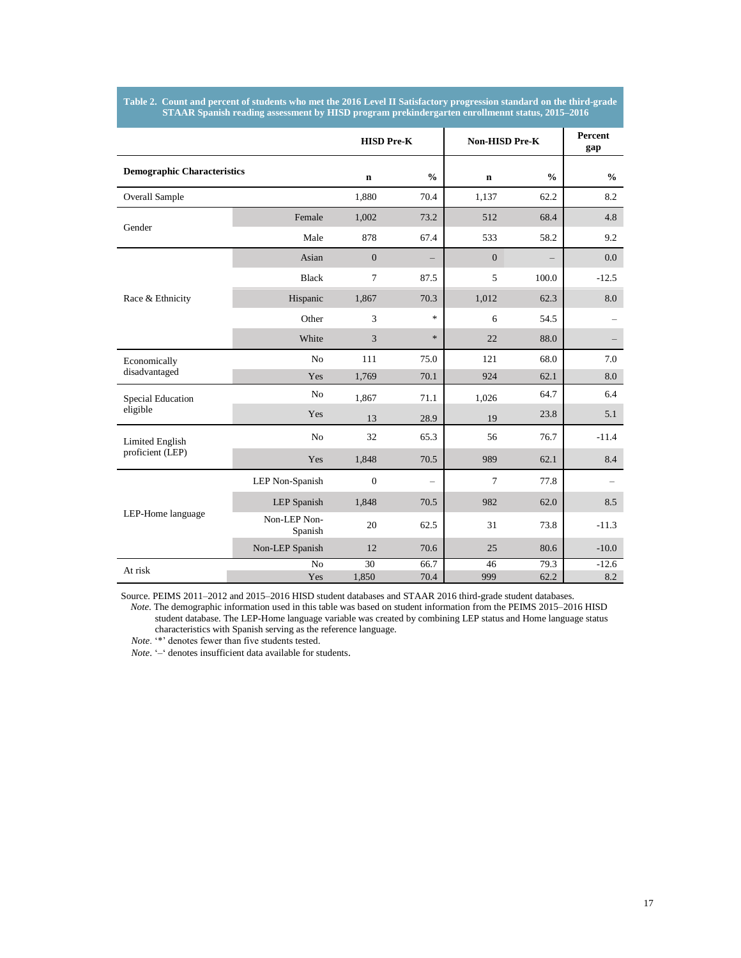#### **Table 2. Count and percent of students who met the 2016 Level II Satisfactory progression standard on the third-grade STAAR Spanish reading assessment by HISD program prekindergarten enrollmennt status, 2015–2016**

|                                    |                         |                  | <b>HISD Pre-K</b>        |                  | Non-HISD Pre-K | Percent<br>gap |
|------------------------------------|-------------------------|------------------|--------------------------|------------------|----------------|----------------|
| <b>Demographic Characteristics</b> |                         | $\mathbf n$      | $\frac{0}{0}$            | $\mathbf n$      | $\frac{0}{0}$  | $\frac{6}{6}$  |
| <b>Overall Sample</b>              |                         | 1,880            | 70.4                     | 1,137            | 62.2           | 8.2            |
| Gender                             | Female                  | 1,002            | 73.2                     | 512              | 68.4           | 4.8            |
|                                    | Male                    | 878              | 67.4                     | 533              | 58.2           | 9.2            |
|                                    | Asian                   | $\boldsymbol{0}$ | —                        | $\boldsymbol{0}$ | -              | $0.0\,$        |
|                                    | <b>Black</b>            | 7                | 87.5                     | 5                | 100.0          | $-12.5$        |
| Race & Ethnicity                   | Hispanic                | 1,867            | 70.3                     | 1,012            | 62.3           | 8.0            |
|                                    | Other                   | 3                | $\mathbf{k}$             | 6                | 54.5           |                |
|                                    | White                   | 3                | $\ast$                   | 22               | 88.0           |                |
| Economically                       | No                      | 111              | 75.0                     | 121              | 68.0           | 7.0            |
| disadvantaged                      | Yes                     | 1,769            | 70.1                     | 924              | 62.1           | 8.0            |
| <b>Special Education</b>           | N <sub>o</sub>          | 1,867            | 71.1                     | 1,026            | 64.7           | 6.4            |
| eligible                           | Yes                     | 13               | 28.9                     | 19               | 23.8           | 5.1            |
| <b>Limited English</b>             | N <sub>o</sub>          | 32               | 65.3                     | 56               | 76.7           | $-11.4$        |
| proficient (LEP)                   | Yes                     | 1,848            | 70.5                     | 989              | 62.1           | 8.4            |
|                                    | LEP Non-Spanish         | $\theta$         | $\overline{\phantom{0}}$ | $\overline{7}$   | 77.8           |                |
|                                    | <b>LEP</b> Spanish      | 1,848            | 70.5                     | 982              | 62.0           | 8.5            |
| LEP-Home language                  | Non-LEP Non-<br>Spanish | 20               | 62.5                     | 31               | 73.8           | $-11.3$        |
|                                    | Non-LEP Spanish         | 12               | 70.6                     | 25               | 80.6           | $-10.0$        |
| At risk                            | No<br>Yes               | 30<br>1,850      | 66.7<br>70.4             | 46<br>999        | 79.3<br>62.2   | $-12.6$<br>8.2 |

Source. PEIMS 2011–2012 and 2015–2016 HISD student databases and STAAR 2016 third-grade student databases. *Note*. The demographic information used in this table was based on student information from the PEIMS 2015–2016 HISD student database. The LEP-Home language variable was created by combining LEP status and Home language status

characteristics with Spanish serving as the reference language.

 *Note*. '\*' denotes fewer than five students tested.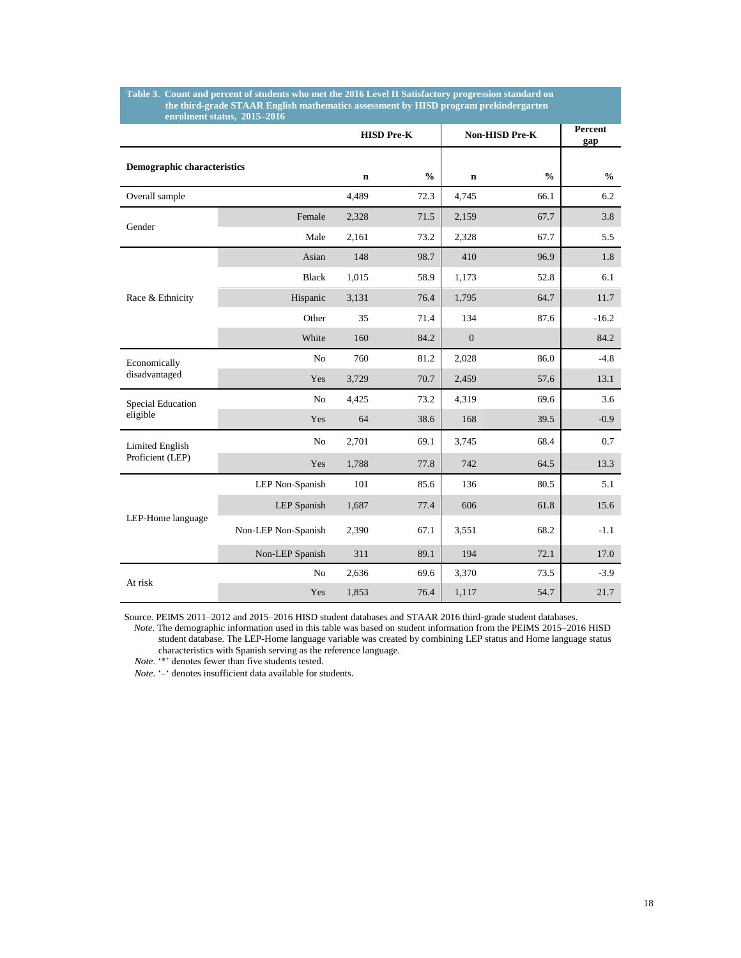|                                    |                     |             | <b>HISD Pre-K</b> |             | Non-HISD Pre-K | Percent<br>gap |
|------------------------------------|---------------------|-------------|-------------------|-------------|----------------|----------------|
| <b>Demographic characteristics</b> |                     | $\mathbf n$ | $\frac{0}{0}$     | $\mathbf n$ | $\frac{0}{0}$  | $\frac{0}{0}$  |
| Overall sample                     |                     | 4,489       | 72.3              | 4,745       | 66.1           | 6.2            |
| Gender                             | Female              | 2,328       | 71.5              | 2,159       | 67.7           | 3.8            |
|                                    | Male                | 2,161       | 73.2              | 2,328       | 67.7           | 5.5            |
|                                    | Asian               | 148         | 98.7              | 410         | 96.9           | 1.8            |
|                                    | <b>Black</b>        | 1,015       | 58.9              | 1,173       | 52.8           | 6.1            |
| Race & Ethnicity                   | Hispanic            | 3,131       | 76.4              | 1,795       | 64.7           | 11.7           |
|                                    | Other               | 35          | 71.4              | 134         | 87.6           | $-16.2$        |
|                                    | White               | 160         | 84.2              | $\Omega$    |                | 84.2           |
| Economically                       | N <sub>o</sub>      | 760         | 81.2              | 2,028       | 86.0           | $-4.8$         |
| disadvantaged                      | Yes                 | 3,729       | 70.7              | 2,459       | 57.6           | 13.1           |
| <b>Special Education</b>           | No                  | 4,425       | 73.2              | 4,319       | 69.6           | 3.6            |
| eligible                           | Yes                 | 64          | 38.6              | 168         | 39.5           | $-0.9$         |
| Limited English                    | N <sub>o</sub>      | 2,701       | 69.1              | 3,745       | 68.4           | 0.7            |
| Proficient (LEP)                   | Yes                 | 1,788       | 77.8              | 742         | 64.5           | 13.3           |
|                                    | LEP Non-Spanish     | 101         | 85.6              | 136         | 80.5           | 5.1            |
|                                    | LEP Spanish         | 1,687       | 77.4              | 606         | 61.8           | 15.6           |
| LEP-Home language                  | Non-LEP Non-Spanish | 2,390       | 67.1              | 3,551       | 68.2           | $-1.1$         |
|                                    | Non-LEP Spanish     | 311         | 89.1              | 194         | 72.1           | 17.0           |
| At risk                            | No                  | 2,636       | 69.6              | 3,370       | 73.5           | $-3.9$         |
|                                    | Yes                 | 1,853       | 76.4              | 1,117       | 54.7           | 21.7           |

#### **Table 3. Count and percent of students who met the 2016 Level II Satisfactory progression standard on the third-grade STAAR English mathematics assessment by HISD program prekindergarten enrolment status, 2015–2016**

Source. PEIMS 2011–2012 and 2015–2016 HISD student databases and STAAR 2016 third-grade student databases.

 *Note*. The demographic information used in this table was based on student information from the PEIMS 2015–2016 HISD student database. The LEP-Home language variable was created by combining LEP status and Home language status characteristics with Spanish serving as the reference language.

 *Note*. '\*' denotes fewer than five students tested.